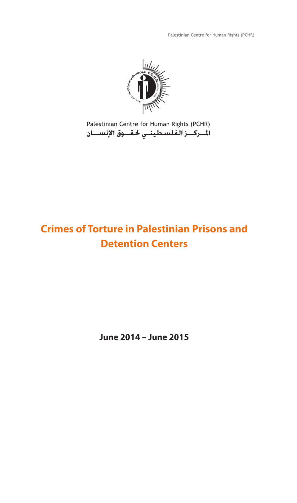Palestinian Centre for Human Rights (PCHR)



Palestinian Centre for Human Rights (PCHR)<br>المسركسز الفلسطينسي لحقسوق الإنسسان

# **Crimes of Torture in Palestinian Prisons and Detention Centers**

**June 2014 – June 2015**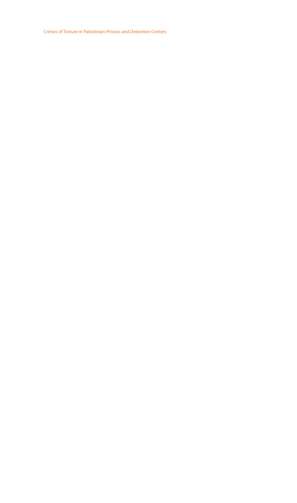Crimes of Torture in Palestinian Prisons and Detention Centers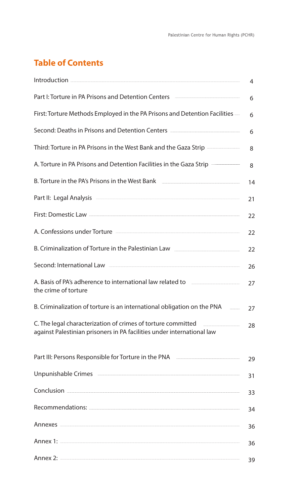# **Table of Contents**

|                                                                                                                                                                                                                                      | 4  |
|--------------------------------------------------------------------------------------------------------------------------------------------------------------------------------------------------------------------------------------|----|
| Part I: Torture in PA Prisons and Detention Centers —————————————                                                                                                                                                                    | 6  |
| First: Torture Methods Employed in the PA Prisons and Detention Facilities —                                                                                                                                                         | 6  |
| Second: Deaths in Prisons and Detention Centers <b>Constant Control</b> Prison of Second: Deaths in Prisons and Detention Centers                                                                                                    | 6  |
| Third: Torture in PA Prisons in the West Bank and the Gaza Strip ————————————————                                                                                                                                                    | 8  |
| A. Torture in PA Prisons and Detention Facilities in the Gaza Strip ——————                                                                                                                                                           | 8  |
| B. Torture in the PA's Prisons in the West Bank <b>Face Consenses 10</b> and 20 and 20 and 20 and 20 and 20 and 20 and 20 and 20 and 20 and 20 and 20 and 20 and 20 and 20 and 20 and 20 and 20 and 20 and 20 and 20 and 20 and 20   | 14 |
| Part II: Legal Analysis <b>Container and Container and Container and Container and Container and Container and Co</b>                                                                                                                | 21 |
| First: Domestic Law (2008) 2009 2010 2010 2010 2010 21:00 21:00 21:00 21:00 21:00 21:00 21:00 21:00 21:00 21:0                                                                                                                       | 22 |
|                                                                                                                                                                                                                                      | 22 |
| B. Criminalization of Torture in the Palestinian Law                                                                                                                                                                                 | 22 |
|                                                                                                                                                                                                                                      | 26 |
| A. Basis of PA's adherence to international law related to _____________________<br>the crime of torture                                                                                                                             | 27 |
| B. Criminalization of torture is an international obligation on the PNA _____                                                                                                                                                        | 27 |
| C. The legal characterization of crimes of torture committed<br>against Palestinian prisoners in PA facilities under international law                                                                                               | 28 |
| Part III: Persons Responsible for Torture in the PNA <b>CONSCRETE ASSESS</b>                                                                                                                                                         | 29 |
| Unpunishable Crimes <u>entitled and the contract of the set of the set of the set of the set of the set of the set of the set of the set of the set of the set of the set of the set of the set of the set of the set of the set</u> | 31 |
|                                                                                                                                                                                                                                      | 33 |
|                                                                                                                                                                                                                                      | 34 |
|                                                                                                                                                                                                                                      | 36 |
|                                                                                                                                                                                                                                      | 36 |
|                                                                                                                                                                                                                                      | 39 |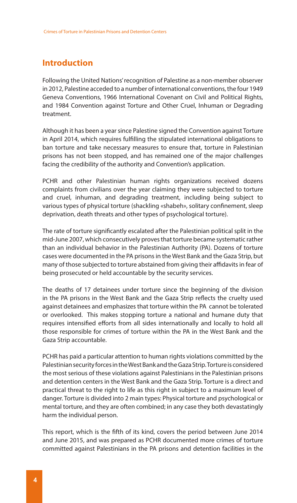## **Introduction**

Following the United Nations' recognition of Palestine as a non-member observer in 2012, Palestine acceded to a number of international conventions, the four 1949 Geneva Conventions, 1966 International Covenant on Civil and Political Rights, and 1984 Convention against Torture and Other Cruel, Inhuman or Degrading treatment.

Although it has been a year since Palestine signed the Convention against Torture in April 2014, which requires fulfilling the stipulated international obligations to ban torture and take necessary measures to ensure that, torture in Palestinian prisons has not been stopped, and has remained one of the major challenges facing the credibility of the authority and Convention's application.

PCHR and other Palestinian human rights organizations received dozens complaints from civilians over the year claiming they were subjected to torture and cruel, inhuman, and degrading treatment, including being subject to various types of physical torture (shackling «shabeh», solitary confinement, sleep deprivation, death threats and other types of psychological torture).

The rate of torture significantly escalated after the Palestinian political split in the mid-June 2007, which consecutively proves that torture became systematic rather than an individual behavior in the Palestinian Authority (PA). Dozens of torture cases were documented in the PA prisons in the West Bank and the Gaza Strip, but many of those subjected to torture abstained from giving their affidavits in fear of being prosecuted or held accountable by the security services.

The deaths of 17 detainees under torture since the beginning of the division in the PA prisons in the West Bank and the Gaza Strip reflects the cruelty used against detainees and emphasizes that torture within the PA cannot be tolerated or overlooked. This makes stopping torture a national and humane duty that requires intensified efforts from all sides internationally and locally to hold all those responsible for crimes of torture within the PA in the West Bank and the Gaza Strip accountable.

PCHR has paid a particular attention to human rights violations committed by the Palestinian security forces in the West Bank and the Gaza Strip. Torture is considered the most serious of these violations against Palestinians in the Palestinian prisons and detention centers in the West Bank and the Gaza Strip. Torture is a direct and practical threat to the right to life as this right in subject to a maximum level of danger. Torture is divided into 2 main types: Physical torture and psychological or mental torture, and they are often combined; in any case they both devastatingly harm the individual person.

This report, which is the fifth of its kind, covers the period between June 2014 and June 2015, and was prepared as PCHR documented more crimes of torture committed against Palestinians in the PA prisons and detention facilities in the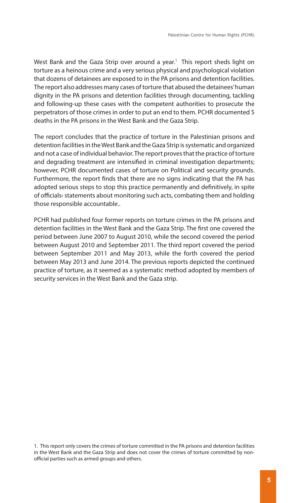West Bank and the Gaza Strip over around a year.<sup>1</sup> This report sheds light on torture as a heinous crime and a very serious physical and psychological violation that dozens of detainees are exposed to in the PA prisons and detention facilities. The report also addresses many cases of torture that abused the detainees' human dignity in the PA prisons and detention facilities through documenting, tackling and following-up these cases with the competent authorities to prosecute the perpetrators of those crimes in order to put an end to them. PCHR documented 5 deaths in the PA prisons in the West Bank and the Gaza Strip.

The report concludes that the practice of torture in the Palestinian prisons and detention facilities in the West Bank and the Gaza Strip is systematic and organized and not a case of individual behavior. The report proves that the practice of torture and degrading treatment are intensified in criminal investigation departments; however, PCHR documented cases of torture on Political and security grounds. Furthermore, the report finds that there are no signs indicating that the PA has adopted serious steps to stop this practice permanently and definitively, in spite of officials› statements about monitoring such acts, combating them and holding those responsible accountable..

PCHR had published four former reports on torture crimes in the PA prisons and detention facilities in the West Bank and the Gaza Strip. The first one covered the period between June 2007 to August 2010, while the second covered the period between August 2010 and September 2011. The third report covered the period between September 2011 and May 2013, while the forth covered the period between May 2013 and June 2014. The previous reports depicted the continued practice of torture, as it seemed as a systematic method adopted by members of security services in the West Bank and the Gaza strip.

<sup>1.</sup> This report only covers the crimes of torture committed in the PA prisons and detention facilities in the West Bank and the Gaza Strip and does not cover the crimes of torture committed by nonofficial parties such as armed groups and others.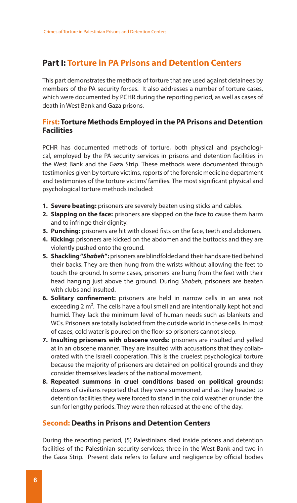## **Part I: Torture in PA Prisons and Detention Centers**

This part demonstrates the methods of torture that are used against detainees by members of the PA security forces. It also addresses a number of torture cases, which were documented by PCHR during the reporting period, as well as cases of death in West Bank and Gaza prisons.

## **First: Torture Methods Employed in the PA Prisons and Detention Facilities**

PCHR has documented methods of torture, both physical and psychological, employed by the PA security services in prisons and detention facilities in the West Bank and the Gaza Strip. These methods were documented through testimonies given by torture victims, reports of the forensic medicine department and testimonies of the torture victims' families. The most significant physical and psychological torture methods included:

- **1. Severe beating:** prisoners are severely beaten using sticks and cables.
- **2. Slapping on the face:** prisoners are slapped on the face to cause them harm and to infringe their dignity.
- **3. Punching:** prisoners are hit with closed fists on the face, teeth and abdomen.
- **4. Kicking:** prisoners are kicked on the abdomen and the buttocks and they are violently pushed onto the ground.
- **5. Shackling "***Shabeh***":** prisoners are blindfolded and their hands are tied behind their backs. They are then hung from the wrists without allowing the feet to touch the ground. In some cases, prisoners are hung from the feet with their head hanging just above the ground. During *Shabeh*, prisoners are beaten with clubs and insulted.
- **6. Solitary confinement:** prisoners are held in narrow cells in an area not exceeding 2 m². The cells have a foul smell and are intentionally kept hot and humid. They lack the minimum level of human needs such as blankets and WCs. Prisoners are totally isolated from the outside world in these cells. In most of cases, cold water is poured on the floor so prisoners cannot sleep.
- **7. Insulting prisoners with obscene words:** prisoners are insulted and yelled at in an obscene manner. They are insulted with accusations that they collaborated with the Israeli cooperation. This is the cruelest psychological torture because the majority of prisoners are detained on political grounds and they consider themselves leaders of the national movement.
- **8. Repeated summons in cruel conditions based on political grounds:**  dozens of civilians reported that they were summoned and as they headed to detention facilities they were forced to stand in the cold weather or under the sun for lengthy periods. They were then released at the end of the day.

## **Second: Deaths in Prisons and Detention Centers**

During the reporting period, (5) Palestinians died inside prisons and detention facilities of the Palestinian security services; three in the West Bank and two in the Gaza Strip. Present data refers to failure and negligence by official bodies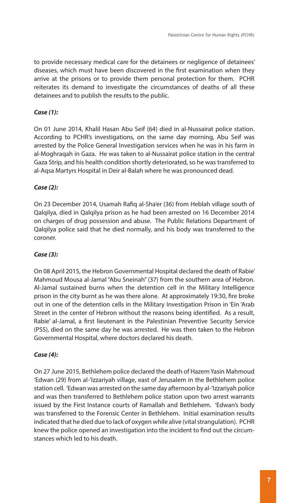to provide necessary medical care for the detainees or negligence of detainees' diseases, which must have been discovered in the first examination when they arrive at the prisons or to provide them personal protection for them. PCHR reiterates its demand to investigate the circumstances of deaths of all these detainees and to publish the results to the public.

#### *Case (1):*

On 01 June 2014, Khalil Hasan Abu Seif (64) died in al-Nussairat police station. According to PCHR's investigations, on the same day morning, Abu Seif was arrested by the Police General Investigation services when he was in his farm in al-Moghraqah in Gaza. He was taken to al-Nussairat police station in the central Gaza Strip, and his health condition shortly deteriorated, so he was transferred to al-Aqsa Martyrs Hospital in Deir al-Balah where he was pronounced dead.

#### *Case (2):*

On 23 December 2014, Usamah Rafiq al-Sha'er (36) from Heblah village south of Qalqilya, died in Qalqilya prison as he had been arrested on 16 December 2014 on charges of drug possession and abuse. The Public Relations Department of Qalqilya police said that he died normally, and his body was transferred to the coroner.

#### *Case (3):*

On 08 April 2015, the Hebron Governmental Hospital declared the death of Rabie' Mahmoud Mousa al-Jamal "Abu Sneinah" (37) from the southern area of Hebron. Al-Jamal sustained burns when the detention cell in the Military Intelligence prison in the city burnt as he was there alone. At approximately 19:30, fire broke out in one of the detention cells in the Military Investigation Prison in 'Ein 'Arab Street in the center of Hebron without the reasons being identified. As a result, Rabie' al-Jamal, a first lieutenant in the Palestinian Preventive Security Service (PSS), died on the same day he was arrested. He was then taken to the Hebron Governmental Hospital, where doctors declared his death.

#### *Case (4):*

On 27 June 2015, Bethlehem police declared the death of Hazem Yasin Mahmoud 'Edwan (29) from al-'Izzariyah village, east of Jerusalem in the Bethlehem police station cell. 'Edwan was arrested on the same day afternoon by al-'Izzariyah police and was then transferred to Bethlehem police station upon two arrest warrants issued by the First Instance courts of Ramallah and Bethlehem. 'Edwan's body was transferred to the Forensic Center in Bethlehem. Initial examination results indicated that he died due to lack of oxygen while alive (vital strangulation). PCHR knew the police opened an investigation into the incident to find out the circumstances which led to his death.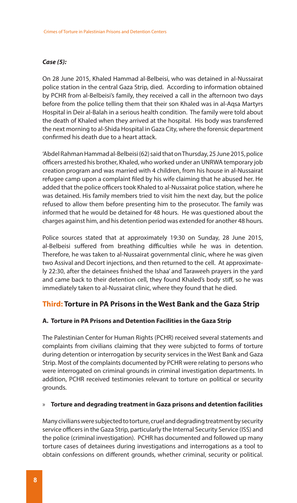#### *Case (5):*

On 28 June 2015, Khaled Hammad al-Belbeisi, who was detained in al-Nussairat police station in the central Gaza Strip, died. According to information obtained by PCHR from al-Belbeisi's family, they received a call in the afternoon two days before from the police telling them that their son Khaled was in al-Aqsa Martyrs Hospital in Deir al-Balah in a serious health condition. The family were told about the death of Khaled when they arrived at the hospital. His body was transferred the next morning to al-Shida Hospital in Gaza City, where the forensic department confirmed his death due to a heart attack.

'Abdel Rahman Hammad al-Belbeisi (62) said that on Thursday, 25 June 2015, police officers arrested his brother, Khaled, who worked under an UNRWA temporary job creation program and was married with 4 children, from his house in al-Nussairat refugee camp upon a complaint filed by his wife claiming that he abused her. He added that the police officers took Khaled to al-Nussairat police station, where he was detained. His family members tried to visit him the next day, but the police refused to allow them before presenting him to the prosecutor. The family was informed that he would be detained for 48 hours. He was questioned about the charges against him, and his detention period was extended for another 48 hours.

Police sources stated that at approximately 19:30 on Sunday, 28 June 2015, al-Belbeisi suffered from breathing difficulties while he was in detention. Therefore, he was taken to al-Nussairat governmental clinic, where he was given two Assival and Decort injections, and then returned to the cell. At approximately 22:30, after the detainees finished the Ishaa' and Taraweeh prayers in the yard and came back to their detention cell, they found Khaled's body stiff, so he was immediately taken to al-Nussairat clinic, where they found that he died.

## **Third: Torture in PA Prisons in the West Bank and the Gaza Strip**

#### **A. Torture in PA Prisons and Detention Facilities in the Gaza Strip**

The Palestinian Center for Human Rights (PCHR) received several statements and complaints from civilians claiming that they were subjcted to forms of torture during detention or interrogation by security services in the West Bank and Gaza Strip. Most of the complaints documented by PCHR were relating to persons who were interrogated on criminal grounds in criminal investigation departments. In addition, PCHR received testimonies relevant to torture on political or security grounds.

#### » **Torture and degrading treatment in Gaza prisons and detention facilities**

Many civilians were subjected to torture, cruel and degrading treatment by security service officers in the Gaza Strip, particularly the Internal Security Service (ISS) and the police (criminal investigation). PCHR has documented and followed up many torture cases of detainees during investigations and interrogations as a tool to obtain confessions on different grounds, whether criminal, security or political.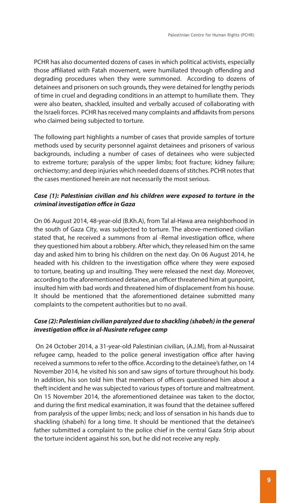PCHR has also documented dozens of cases in which political activists, especially those affiliated with Fatah movement, were humiliated through offending and degrading procedures when they were summoned. According to dozens of detainees and prisoners on such grounds, they were detained for lengthy periods of time in cruel and degrading conditions in an attempt to humiliate them. They were also beaten, shackled, insulted and verbally accused of collaborating with the Israeli forces. PCHR has received many complaints and affidavits from persons who claimed being subjected to torture.

The following part highlights a number of cases that provide samples of torture methods used by security personnel against detainees and prisoners of various backgrounds, including a number of cases of detainees who were subjected to extreme torture; paralysis of the upper limbs; foot fracture; kidney failure; orchiectomy; and deep injuries which needed dozens of stitches. PCHR notes that the cases mentioned herein are not necessarily the most serious.

#### *Case (1): Palestinian civilian and his children were exposed to torture in the criminal investigation office in Gaza*

On 06 August 2014, 48-year-old (B.Kh.A), from Tal al-Hawa area neighborhood in the south of Gaza City, was subjected to torture. The above-mentioned civilian stated that, he received a summons from al -Remal investigation office, where they questioned him about a robbery. After which, they released him on the same day and asked him to bring his children on the next day. On 06 August 2014, he headed with his children to the investigation office where they were exposed to torture, beating up and insulting. They were released the next day. Moreover, according to the aforementioned detainee, an officer threatened him at gunpoint, insulted him with bad words and threatened him of displacement from his house. It should be mentioned that the aforementioned detainee submitted many complaints to the competent authorities but to no avail.

### *Case (2): Palestinian civilian paralyzed due to shackling (shabeh) in the general investigation office in al-Nusirate refugee camp*

 On 24 October 2014, a 31-year-old Palestinian civilian, (A.J.M), from al-Nussairat refugee camp, headed to the police general investigation office after having received a summons to refer to the office. According to the detainee's father, on 14 November 2014, he visited his son and saw signs of torture throughout his body. In addition, his son told him that members of officers questioned him about a theft incident and he was subjected to various types of torture and maltreatment. On 15 November 2014, the aforementioned detainee was taken to the doctor, and during the first medical examination, it was found that the detainee suffered from paralysis of the upper limbs; neck; and loss of sensation in his hands due to shackling (shabeh) for a long time. It should be mentioned that the detainee's father submitted a complaint to the police chief in the central Gaza Strip about the torture incident against his son, but he did not receive any reply.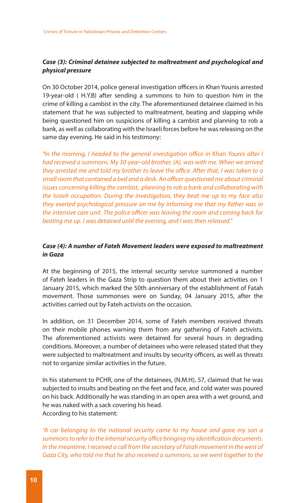#### *Case (3): Criminal detainee subjected to maltreatment and psychological and physical pressure*

On 30 October 2014, police general investigation officers in Khan Younis arrested 19-year-old ( H.Y.B) after sending a summons to him to question him in the crime of killing a cambist in the city. The aforementioned detainee claimed in his statement that he was subjected to maltreatment, beating and slapping while being questioned him on suspicions of killing a cambist and planning to rob a bank, as well as collaborating with the Israeli forces before he was releasing on the same day evening. He said in his testimony:

*"In the morning, I headed to the general investigation office in Khan Younis after I had received a summons. My 30-year-old brother, (A), was with me. When we arrived they arrested me and told my brother to leave the office. After that, I was taken to a small room that contained a bed and a desk. An officer questioned me about criminal issues concerning killing the cambist, planning to rob a bank and collaborating with the Israeli occupation. During the investigation, they beat me up to my face also they exerted psychological pressure on me by informing me that my father was in the intensive care unit. The police officer was leaving the room and coming back for beating me up. I was detained until the evening, and I was then released."* 

#### *Case (4): A number of Fateh Movement leaders were exposed to maltreatment in Gaza*

At the beginning of 2015, the internal security service summoned a number of Fateh leaders in the Gaza Strip to question them about their activities on 1 January 2015, which marked the 50th anniversary of the establishment of Fatah movement. Those summonses were on Sunday, 04 January 2015, after the activities carried out by Fateh activists on the occasion.

In addition, on 31 December 2014, some of Fateh members received threats on their mobile phones warning them from any gathering of Fateh activists. The aforementioned activists were detained for several hours in degrading conditions. Moreover, a number of detainees who were released stated that they were subjected to maltreatment and insults by security officers, as well as threats not to organize similar activities in the future.

In his statement to PCHR, one of the detainees, (N.M.H), 57, claimed that he was subjected to insults and beating on the feet and face, and cold water was poured on his back. Additionally he was standing in an open area with a wet ground, and he was naked with a sack covering his head. According to his statement:

*"A car belonging to the national security came to my house and gave my son a summons to refer to the internal security office bringing my identification documents. In the meantime, I received a call from the secretary of Fatah movement in the west of Gaza City, who told me that he also received a summons, so we went together to the*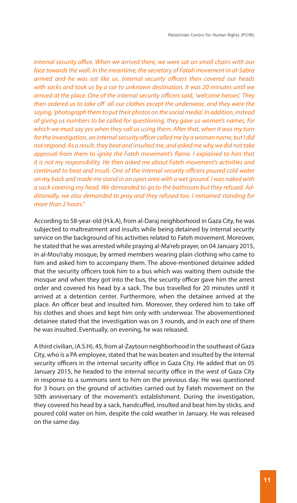*internal security office. When we arrived there, we were sat on small chairs with our face towards the wall. In the meantime, the secretary of Fatah movement in al-Sabra arrived and he was sat like us. Internal security officers then covered our heads with sacks and took us by a car to unknown destination. It was 20 minutes until we arrived at the place. One of the internal security officers said, 'welcome heroes'. They then ordered us to take off all our clothes except the underwear, and they were the saying, 'photograph them to put their photos on the social media'. In addition, instead of giving us numbers to be called for questioning, they gave us women's names, for which we must say yes when they call us using them. After that, when it was my turn for the investigation, an internal security officer called me by a woman name, but I did not respond. As a result, they beat and insulted me, and asked me why we did not take approval from them to ignite the Fateh movement's flame. I explained to him that it is not my responsibility. He then asked me about Fateh movement's activities and continued to beat and insult. One of the internal security officers poured cold water on my back and made me stand in an open area with a wet ground. I was naked with a sack covering my head. We demanded to go to the bathroom but they refused. Additionally, we also demanded to pray and they refused too. I remained standing for more than 2 hours."* 

According to 58-year-old (H.k.A), from al-Daraj neighborhood in Gaza City, he was subjected to maltreatment and insults while being detained by internal security service on the background of his activities related to Fateh movement. Moreover, he stated that he was arrested while praying al-Ma'reb prayer, on 04 January 2015, in al-Mou'raby mosque, by armed members wearing plain clothing who came to him and asked him to accompany them. The above-mentioned detainee added that the security officers took him to a bus which was waiting them outside the mosque and when they got into the bus, the security officer gave him the arrest order and covered his head by a sack. The bus travelled for 20 minutes until it arrived at a detention center. Furthermore, when the detainee arrived at the place. An officer beat and insulted him. Moreover, they ordered him to take off his clothes and shoes and kept him only with underwear. The abovementioned detainee stated that the investigation was on 3 rounds, and in each one of them he was insulted. Eventually, on evening, he was released.

A third civilian, (A.S.H), 45, from al-Zaytoun neighborhood in the southeast of Gaza City, who is a PA employee, stated that he was beaten and insulted by the internal security officers in the internal security office in Gaza City. He added that on 05 January 2015, he headed to the internal security office in the west of Gaza City in response to a summons sent to him on the previous day. He was questioned for 3 hours on the ground of activities carried out by Fateh movement on the 50th anniversary of the movement's establishment. During the investigation, they covered his head by a sack, handcuffed, insulted and beat him by sticks, and poured cold water on him, despite the cold weather in January. He was released on the same day.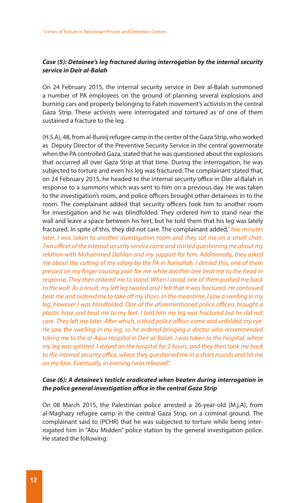#### *Case (5): Detainee's leg fractured during interrogation by the internal security service in Deir al-Balah*

On 24 February 2015, the internal security service in Deir al-Balah summoned a number of PA employees on the ground of planning several explosions and burning cars and property belonging to Fateh movement's activists in the central Gaza Strip. These activists were interrogated and tortured as of one of them sustained a fracture to the leg.

(H.S.A), 48, from al-Bureij refugee camp in the center of the Gaza Strip, who worked as Deputy Director of the Preventive Security Service in the central governorate when the PA controlled Gaza, stated that he was questioned about the explosions that occurred all over Gaza Strip at that time. During the interrogation, he was subjected to torture and even his leg was fractured. The complainant stated that, on 24 February 2015, he headed to the internal security office in Dier al-Balah in response to a summons which was sent to him on a previous day. He was taken to the investigation's room, and police officers brought other detainees in to the room. The complainant added that security officers took him to another room for investigation and he was blindfolded. They ordered him to stand near the wall and leave a space between his feet, but he told them that his leg was lately fractured. In spite of this, they did not care. The complainant added," *few minutes later, I was taken to another investigation room and they sat me on a small chair. Two officer of the internal security service came and started questioning me about my relation with Mohammed Dahlan and my support for him. Additionally, they asked me about the cutting of my salary by the PA in Ramallah. I denied this, one of them pressed on my finger causing pain for me while another one beat me to the head in response. They then ordered me to stand. When I stood, one of them pushed me back to the wall. As a result, my left leg twisted and I felt that it was fractured. He continued beat me and ordered me to take off my shoes. In the meantime, I saw a swelling in my leg, however I was blindfolded. One of the aforementioned police officers brought a plastic hose and beat me to my feet. I told him my leg was fractured but he did not care. They left me later. After which, a third police officer came and unfolded my eye. He saw the swelling in my leg, so he ordered bringing a doctor who recommended taking me to the al-Aqsa Hospital in Deir al-Balah. I was taken to the hospital, where my leg was splinted. I stayed on the hospital for 2 hours, and they then took me back to the internal security office, where they questioned me in a short rounds and hit me on my face. Eventually, in evening I was released"*.

#### *Case (6): A detainee's testicle eradicated when beaten during interrogation in the police general investigation office in the central Gaza Strip*

On 08 March 2015, the Palestinian police arrested a 26-year-old (M.j.A), from al-Maghazy refugee camp in the central Gaza Strip, on a criminal ground. The complainant said to (PCHR) that he was subjected to torture while being interrogated him in "Abu Midden" police station by the general investigation police. He stated the following: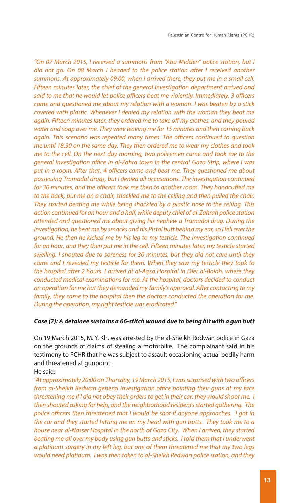*"On 07 March 2015, I received a summons from "Abu Midden" police station, but I did not go. On 08 March I headed to the police station after I received another summons. At approximately 09:00, when I arrived there, they put me in a small cell. Fifteen minutes later, the chief of the general investigation department arrived and said to me that he would let police officers beat me violently. Immediately, 3 officers came and questioned me about my relation with a woman. I was beaten by a stick covered with plastic. Whenever I denied my relation with the woman they beat me again. Fifteen minutes later, they ordered me to take off my clothes, and they poured water and soap over me. They were leaving me for 15 minutes and then coming back again. This scenario was repeated many times. The officers continued to question me until 18:30 on the same day. They then ordered me to wear my clothes and took me to the cell. On the next day morning, two policemen came and took me to the general investigation office in al-Zahra town in the central Gaza Strip, where I was put in a room. After that, 4 officers came and beat me. They questioned me about possessing Tramadol drugs, but I denied all accusations. The investigation continued for 30 minutes, and the officers took me then to another room. They handcuffed me to the back, put me on a chair, shackled me to the ceiling and then pulled the chair. They started beating me while being shackled by a plastic hose to the ceiling. This action continued for an hour and a half, while deputy chief of al-Zahrah police station attended and questioned me about giving his nephew a Tramadol drug. During the investigation, he beat me by smacks and his Pistol butt behind my ear, so I fell over the ground. He then he kicked me by his leg to my testicle. The investigation continued for an hour, and they then put me in the cell. Fifteen minutes later, my testicle started swelling. I shouted due to soreness for 30 minutes, but they did not care until they came and I revealed my testicle for them. When they saw my testicle they took to the hospital after 2 hours. I arrived at al-Aqsa Hospital in Dier al-Balah, where they conducted medical examinations for me. At the hospital, doctors decided to conduct an operation for me but they demanded my family's approval. After contacting to my family, they came to the hospital then the doctors conducted the operation for me. During the operation, my right testicle was eradicated."* 

#### *Case (7): A detainee sustains a 66-stitch wound due to being hit with a gun butt*

On 19 March 2015, M. Y. Kh. was arrested by the al-Sheikh Rodwan police in Gaza on the grounds of claims of stealing a motorbike. The complainant said in his testimony to PCHR that he was subject to assault occasioning actual bodily harm and threatened at gunpoint.

He said:

*"At approximately 20:00 on Thursday, 19 March 2015, I was surprised with two officers from al-Sheikh Redwan general investigation office pointing their guns at my face threatening me if I did not obey their orders to get in their car, they would shoot me. I then shouted asking for help, and the neighborhood residents started gathering. The police officers then threatened that I would be shot if anyone approaches. I got in the car and they started hitting me on my head with gun butts. They took me to a house near al-Nasser Hospital in the north of Gaza City. When I arrived, they started beating me all over my body using gun butts and sticks. I told them that I underwent a platinum surgery in my left leg, but one of them threatened me that my two legs would need platinum. I was then taken to al-Sheikh Redwan police station, and they*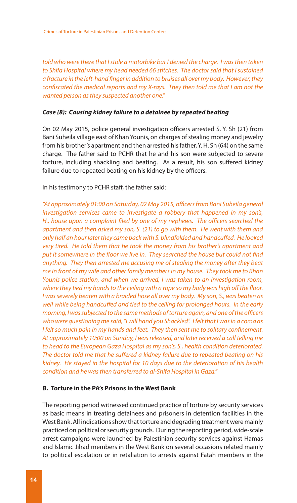told who were there that I stole a motorbike but I denied the charge. I was then taken to Shifa Hospital where my head needed 66 stitches. The doctor said that I sustained *a fracture in the left-hand finger in addition to bruises all over my body. However, they confiscated the medical reports and my X-rays. They then told me that I am not the wanted person as they suspected another one."*

#### *Case (8): Causing kidney failure to a detainee by repeated beating*

On 02 May 2015, police general investigation officers arrested S. Y. Sh (21) from Bani Suheila village east of Khan Younis, on charges of stealing money and jewelry from his brother's apartment and then arrested his father, Y. H. Sh (64) on the same charge. The father said to PCHR that he and his son were subjected to severe torture, including shackling and beating. As a result, his son suffered kidney failure due to repeated beating on his kidney by the officers.

In his testimony to PCHR staff, the father said:

*"At approximately 01:00 on Saturday, 02 May 2015, officers from Bani Suheila general investigation services came to investigate a robbery that happened in my son's, H., house upon a complaint filed by one of my nephews. The officers searched the apartment and then asked my son, S. (21) to go with them. He went with them and only half an hour later they came back with S. blindfolded and handcuffed. He looked very tired. He told them that he took the money from his brother's apartment and put it somewhere in the floor we live in. They searched the house but could not find anything. They then arrested me accusing me of stealing the money after they beat me in front of my wife and other family members in my house. They took me to Khan Younis police station, and when we arrived, I was taken to an investigation room, where they tied my hands to the ceiling with a rope so my body was high off the floor. I was severely beaten with a braided hose all over my body. My son, S., was beaten as well while being handcuffed and tied to the ceiling for prolonged hours. In the early morning, I was subjected to the same methods of torture again, and one of the officers who were questioning me said, "I will hand you Shackled". I felt that I was in a coma as I felt so much pain in my hands and feet. They then sent me to solitary confinement. At approximately 10:00 on Sunday, I was released, and later received a call telling me to head to the European Gaza Hospital as my son's, S., health condition deteriorated. The doctor told me that he suffered a kidney failure due to repeated beating on his kidney. He stayed in the hospital for 10 days due to the deterioration of his health condition and he was then transferred to al-Shifa Hospital in Gaza."* 

#### **B. Torture in the PA's Prisons in the West Bank**

The reporting period witnessed continued practice of torture by security services as basic means in treating detainees and prisoners in detention facilities in the West Bank. All indications show that torture and degrading treatment were mainly practiced on political or security grounds. During the reporting period, wide-scale arrest campaigns were launched by Palestinian security services against Hamas and Islamic Jihad members in the West Bank on several occasions related mainly to political escalation or in retaliation to arrests against Fatah members in the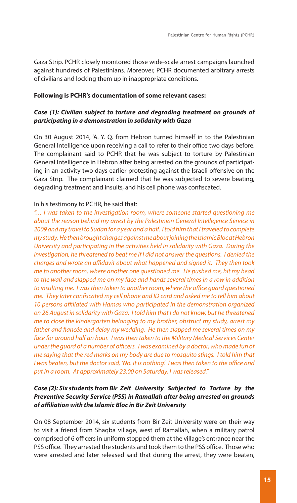Gaza Strip. PCHR closely monitored those wide-scale arrest campaigns launched against hundreds of Palestinians. Moreover, PCHR documented arbitrary arrests of civilians and locking them up in inappropriate conditions.

#### **Following is PCHR's documentation of some relevant cases:**

#### *Case (1): Civilian subject to torture and degrading treatment on grounds of participating in a demonstration in solidarity with Gaza*

On 30 August 2014, 'A. Y. Q. from Hebron turned himself in to the Palestinian General Intelligence upon receiving a call to refer to their office two days before. The complainant said to PCHR that he was subject to torture by Palestinian General Intelligence in Hebron after being arrested on the grounds of participating in an activity two days earlier protesting against the Israeli offensive on the Gaza Strip. The complainant claimed that he was subjected to severe beating, degrading treatment and insults, and his cell phone was confiscated.

#### In his testimony to PCHR, he said that:

*"… I was taken to the investigation room, where someone started questioning me about the reason behind my arrest by the Palestinian General Intelligence Service in 2009 and my travel to Sudan for a year and a half. I told him that I traveled to complete my study. He then brought charges against me about joining the Islamic Bloc at Hebron University and participating in the activities held in solidarity with Gaza. During the investigation, he threatened to beat me if I did not answer the questions. I denied the charges and wrote an affidavit about what happened and signed it. They then took me to another room, where another one questioned me. He pushed me, hit my head to the wall and slapped me on my face and hands several times in a row in addition to insulting me. I was then taken to another room, where the office guard questioned me. They later confiscated my cell phone and ID card and asked me to tell him about 10 persons affiliated with Hamas who participated in the demonstration organized on 26 August in solidarity with Gaza. I told him that I do not know, but he threatened me to close the kindergarten belonging to my brother, obstruct my study, arrest my father and fiancée and delay my wedding. He then slapped me several times on my face for around half an hour. I was then taken to the Military Medical Services Center under the guard of a number of officers. I was examined by a doctor, who made fun of me saying that the red marks on my body are due to mosquito stings. I told him that I was beaten, but the doctor said, 'No. it is nothing'. I was then taken to the office and put in a room. At approximately 23:00 on Saturday, I was released."*

#### *Case (2): Six students from Bir Zeit University Subjected to Torture by the Preventive Security Service (PSS) in Ramallah after being arrested on grounds of affiliation with the Islamic Bloc in Bir Zeit University*

On 08 September 2014, six students from Bir Zeit University were on their way to visit a friend from Shaqba village, west of Ramallah, when a military patrol comprised of 6 officers in uniform stopped them at the village's entrance near the PSS office. They arrested the students and took them to the PSS office. Those who were arrested and later released said that during the arrest, they were beaten,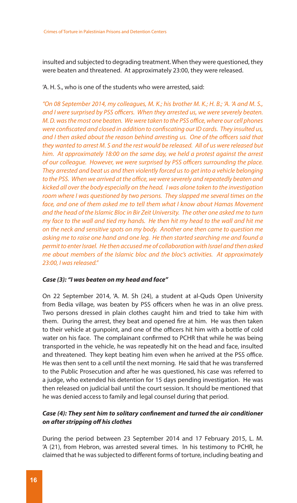insulted and subjected to degrading treatment. When they were questioned, they were beaten and threatened. At approximately 23:00, they were released.

#### 'A. H. S., who is one of the students who were arrested, said:

*"On 08 September 2014, my colleagues, M. K.; his brother M. K.; H. B.; 'A. 'A and M. S., and I were surprised by PSS officers. When they arrested us, we were severely beaten. M. D. was the most one beaten. We were taken to the PSS office, where our cell phones were confiscated and closed in addition to confiscating our ID cards. They insulted us, and I then asked about the reason behind arresting us. One of the officers said that they wanted to arrest M. S and the rest would be released. All of us were released but him. At approximately 18:00 on the same day, we held a protest against the arrest of our colleague. However, we were surprised by PSS officers surrounding the place. They arrested and beat us and then violently forced us to get into a vehicle belonging to the PSS. When we arrived at the office, we were severely and repeatedly beaten and kicked all over the body especially on the head. I was alone taken to the investigation room where I was questioned by two persons. They slapped me several times on the face, and one of them asked me to tell them what I know about Hamas Movement and the head of the Islamic Bloc in Bir Zeit University. The other one asked me to turn my face to the wall and tied my hands. He then hit my head to the wall and hit me on the neck and sensitive spots on my body. Another one then came to question me asking me to raise one hand and one leg. He then started searching me and found a permit to enter Israel. He then accused me of collaboration with Israel and then asked me about members of the Islamic bloc and the bloc's activities. At approximately 23:00, I was released."* 

#### *Case (3): "I was beaten on my head and face"*

On 22 September 2014, 'A. M. Sh (24), a student at al-Quds Open University from Bedia village, was beaten by PSS officers when he was in an olive press. Two persons dressed in plain clothes caught him and tried to take him with them. During the arrest, they beat and opened fire at him. He was then taken to their vehicle at gunpoint, and one of the officers hit him with a bottle of cold water on his face. The complainant confirmed to PCHR that while he was being transported in the vehicle, he was repeatedly hit on the head and face, insulted and threatened. They kept beating him even when he arrived at the PSS office. He was then sent to a cell until the next morning. He said that he was transferred to the Public Prosecution and after he was questioned, his case was referred to a judge, who extended his detention for 15 days pending investigation. He was then released on judicial bail until the court session. It should be mentioned that he was denied access to family and legal counsel during that period.

#### *Case (4): They sent him to solitary confinement and turned the air conditioner on after stripping off his clothes*

During the period between 23 September 2014 and 17 February 2015, L. M. 'A (21), from Hebron, was arrested several times. In his testimony to PCHR, he claimed that he was subjected to different forms of torture, including beating and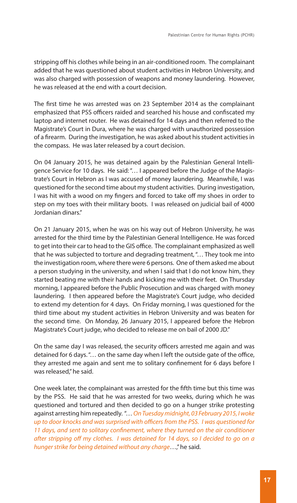stripping off his clothes while being in an air-conditioned room. The complainant added that he was questioned about student activities in Hebron University, and was also charged with possession of weapons and money laundering. However, he was released at the end with a court decision.

The first time he was arrested was on 23 September 2014 as the complainant emphasized that PSS officers raided and searched his house and confiscated my laptop and internet router. He was detained for 14 days and then referred to the Magistrate's Court in Dura, where he was charged with unauthorized possession of a firearm. During the investigation, he was asked about his student activities in the compass. He was later released by a court decision.

On 04 January 2015, he was detained again by the Palestinian General Intelligence Service for 10 days. He said: "… I appeared before the Judge of the Magistrate's Court in Hebron as I was accused of money laundering. Meanwhile, I was questioned for the second time about my student activities. During investigation, I was hit with a wood on my fingers and forced to take off my shoes in order to step on my toes with their military boots. I was released on judicial bail of 4000 Jordanian dinars."

On 21 January 2015, when he was on his way out of Hebron University, he was arrested for the third time by the Palestinian General Intelligence. He was forced to get into their car to head to the GIS office. The complainant emphasized as well that he was subjected to torture and degrading treatment, "… They took me into the investigation room, where there were 6 persons. One of them asked me about a person studying in the university, and when I said that I do not know him, they started beating me with their hands and kicking me with their feet. On Thursday morning, I appeared before the Public Prosecution and was charged with money laundering. I then appeared before the Magistrate's Court judge, who decided to extend my detention for 4 days. On Friday morning, I was questioned for the third time about my student activities in Hebron University and was beaten for the second time. On Monday, 26 January 2015, I appeared before the Hebron Magistrate's Court judge, who decided to release me on bail of 2000 JD."

On the same day I was released, the security officers arrested me again and was detained for 6 days. "… on the same day when I left the outside gate of the office, they arrested me again and sent me to solitary confinement for 6 days before I was released," he said.

One week later, the complainant was arrested for the fifth time but this time was by the PSS. He said that he was arrested for two weeks, during which he was questioned and tortured and then decided to go on a hunger strike protesting against arresting him repeatedly. "… *On Tuesday midnight, 03 February 2015, I woke up to door knocks and was surprised with officers from the PSS. I was questioned for 11 days, and sent to solitary confinement, where they turned on the air conditioner after stripping off my clothes. I was detained for 14 days, so I decided to go on a hunger strike for being detained without any charge*…," he said.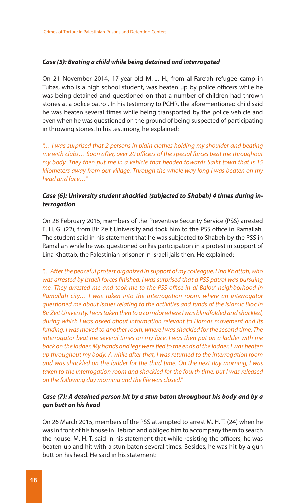#### *Case (5): Beating a child while being detained and interrogated*

On 21 November 2014, 17-year-old M. J. H., from al-Fare'ah refugee camp in Tubas, who is a high school student, was beaten up by police officers while he was being detained and questioned on that a number of children had thrown stones at a police patrol. In his testimony to PCHR, the aforementioned child said he was beaten several times while being transported by the police vehicle and even when he was questioned on the ground of being suspected of participating in throwing stones. In his testimony, he explained:

*"… I was surprised that 2 persons in plain clothes holding my shoulder and beating me with clubs… Soon after, over 20 officers of the special forces beat me throughout my body. They then put me in a vehicle that headed towards Salfit town that is 15 kilometers away from our village. Through the whole way long I was beaten on my head and face…"*

#### *Case (6): University student shackled (subjected to Shabeh) 4 times during interrogation*

On 28 February 2015, members of the Preventive Security Service (PSS) arrested E. H. G. (22), from Bir Zeit University and took him to the PSS office in Ramallah. The student said in his statement that he was subjected to Shabeh by the PSS in Ramallah while he was questioned on his participation in a protest in support of Lina Khattab, the Palestinian prisoner in Israeli jails then. He explained:

*"…After the peaceful protest organized in support of my colleague, Lina Khattab, who was arrested by Israeli forces finished, I was surprised that a PSS patrol was pursuing me. They arrested me and took me to the PSS office in al-Balou' neighborhood in Ramallah city… I was taken into the interrogation room, where an interrogator questioned me about issues relating to the activities and funds of the Islamic Bloc in Bir Zeit University. I was taken then to a corridor where I was blindfolded and shackled, during which I was asked about information relevant to Hamas movement and its funding. I was moved to another room, where I was shackled for the second time. The interrogator beat me several times on my face. I was then put on a ladder with me back on the ladder. My hands and legs were tied to the ends of the ladder. I was beaten up throughout my body. A while after that, I was returned to the interrogation room and was shackled on the ladder for the third time. On the next day morning, I was taken to the interrogation room and shackled for the fourth time, but I was released on the following day morning and the file was closed."*

#### *Case (7): A detained person hit by a stun baton throughout his body and by a gun butt on his head*

On 26 March 2015, members of the PSS attempted to arrest M. H. T. (24) when he was in front of his house in Hebron and obliged him to accompany them to search the house. M. H. T. said in his statement that while resisting the officers, he was beaten up and hit with a stun baton several times. Besides, he was hit by a gun butt on his head. He said in his statement: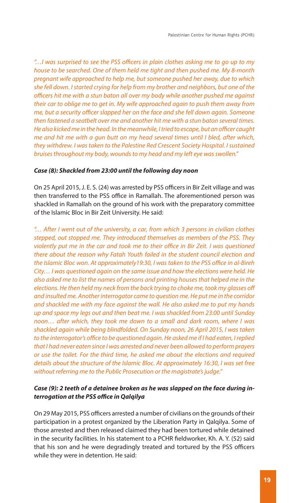*"…I was surprised to see the PSS officers in plain clothes asking me to go up to my house to be searched. One of them held me tight and then pushed me. My 8-month pregnant wife approached to help me, but someone pushed her away, due to which she fell down. I started crying for help from my brother and neighbors, but one of the officers hit me with a stun baton all over my body while another pushed me against their car to oblige me to get in. My wife approached again to push them away from me, but a security officer slapped her on the face and she fell down again. Someone then fastened a seatbelt over me and another hit me with a stun baton several times. He also kicked me in the head. In the meanwhile, I tried to escape, but an officer caught me and hit me with a gun butt on my head several times until I bled, after which, they withdrew. I was taken to the Palestine Red Crescent Society Hospital. I sustained bruises throughout my body, wounds to my head and my left eye was swollen."*

#### *Case (8): Shackled from 23:00 until the following day noon*

On 25 April 2015, J. E. S. (24) was arrested by PSS officers in Bir Zeit village and was then transferred to the PSS office in Ramallah. The aforementioned person was shackled in Ramallah on the ground of his work with the preparatory committee of the Islamic Bloc in Bir Zeit University. He said:

*"… After I went out of the university, a car, from which 3 persons in civilian clothes stepped, out stopped me. They introduced themselves as members of the PSS. They violently put me in the car and took me to their office in Bir Zeit. I was questioned there about the reason why Fatah Youth failed in the student council election and the Islamic Bloc won. At approximately19:30, I was taken to the PSS office in al-Bireh City… I was questioned again on the same issue and how the elections were held. He also asked me to list the names of persons and printing houses that helped me in the elections. He then held my neck from the back trying to choke me, took my glasses off and insulted me. Another interrogator came to question me. He put me in the corridor and shackled me with my face against the wall. He also asked me to put my hands up and space my legs out and then beat me. I was shackled from 23:00 until Sunday noon… after which, they took me down to a small and dark room, where I was shackled again while being blindfolded. On Sunday noon, 26 April 2015, I was taken to the interrogator's office to be questioned again. He asked me if I had eaten, I replied that I had never eaten since I was arrested and never been allowed to perform prayers or use the toilet. For the third time, he asked me about the elections and required details about the structure of the Islamic Bloc. At approximately 16:30, I was set free without referring me to the Public Prosecution or the magistrate's judge."* 

#### *Case (9): 2 teeth of a detainee broken as he was slapped on the face during interrogation at the PSS office in Qalqilya*

On 29 May 2015, PSS officers arrested a number of civilians on the grounds of their participation in a protest organized by the Liberation Party in Qalqilya. Some of those arrested and then released claimed they had been tortured while detained in the security facilities. In his statement to a PCHR fieldworker, Kh. A. Y. (52) said that his son and he were degradingly treated and tortured by the PSS officers while they were in detention. He said: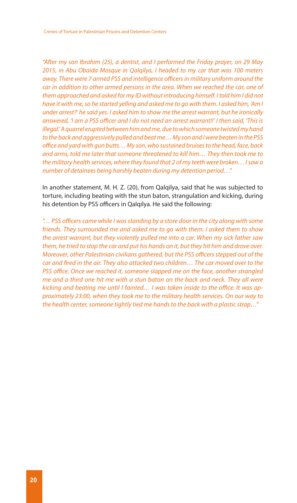*"After my son Ibrahim (25), a dentist, and I performed the Friday prayer, on 29 May 2015, in Abu Obaida Mosque in Qalqilya, I headed to my car that was 100 meters away. There were 7 armed PSS and intelligence officers in military uniform around the car in addition to other armed persons in the area. When we reached the car, one of them approached and asked for my ID without introducing himself. I told him I did not have it with me, so he started yelling and asked me to go with them. I asked him, 'Am I under arrest?' he said yes. I asked him to show me the arrest warrant, but he ironically answered, 'I am a PSS officer and I do not need an arrest warrant!!' I then said, 'This is illegal.' A quarrel erupted between him and me, due to which someone twisted my hand to the back and aggressively pulled and beat me… My son and I were beaten in the PSS office and yard with gun butts… My son, who sustained bruises to the head, face, back and arms, told me later that someone threatened to kill him… They then took me to the military health services, where they found that 2 of my teeth were broken… I saw a number of detainees being harshly beaten during my detention period…"*

In another statement, M. H. Z. (20), from Qalqilya, said that he was subjected to torture, including beating with the stun baton, strangulation and kicking, during his detention by PSS officers in Qalqilya. He said the following:

*"… PSS officers came while I was standing by a store door in the city along with some friends. They surrounded me and asked me to go with them. I asked them to show the arrest warrant, but they violently pulled me into a car. When my sick father saw them, he tried to stop the car and put his hands on it, but they hit him and drove over. Moreover, other Palestinian civilians gathered, but the PSS officers stepped out of the car and fired in the air. They also attacked two children… The car moved over to the PSS office. Once we reached it, someone slapped me on the face, another strangled me and a third one hit me with a stun baton on the back and neck. They all were kicking and beating me until I fainted… I was taken inside to the office. It was approximately 23:00, when they took me to the military health services. On our way to the health center, someone tightly tied me hands to the back with a plastic strap…"*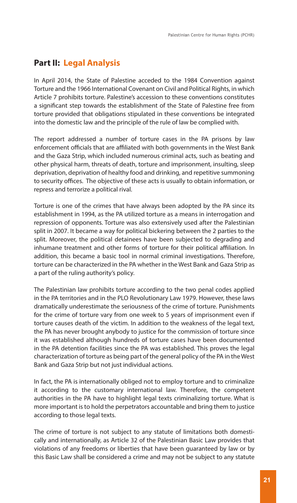# **Part II: Legal Analysis**

In April 2014, the State of Palestine acceded to the 1984 Convention against Torture and the 1966 International Covenant on Civil and Political Rights, in which Article 7 prohibits torture. Palestine's accession to these conventions constitutes a significant step towards the establishment of the State of Palestine free from torture provided that obligations stipulated in these conventions be integrated into the domestic law and the principle of the rule of law be complied with.

The report addressed a number of torture cases in the PA prisons by law enforcement officials that are affiliated with both governments in the West Bank and the Gaza Strip, which included numerous criminal acts, such as beating and other physical harm, threats of death, torture and imprisonment, insulting, sleep deprivation, deprivation of healthy food and drinking, and repetitive summoning to security offices. The objective of these acts is usually to obtain information, or repress and terrorize a political rival.

Torture is one of the crimes that have always been adopted by the PA since its establishment in 1994, as the PA utilized torture as a means in interrogation and repression of opponents. Torture was also extensively used after the Palestinian split in 2007. It became a way for political bickering between the 2 parties to the split. Moreover, the political detainees have been subjected to degrading and inhumane treatment and other forms of torture for their political affiliation. In addition, this became a basic tool in normal criminal investigations. Therefore, torture can be characterized in the PA whether in the West Bank and Gaza Strip as a part of the ruling authority's policy.

The Palestinian law prohibits torture according to the two penal codes applied in the PA territories and in the PLO Revolutionary Law 1979. However, these laws dramatically underestimate the seriousness of the crime of torture. Punishments for the crime of torture vary from one week to 5 years of imprisonment even if torture causes death of the victim. In addition to the weakness of the legal text, the PA has never brought anybody to justice for the commission of torture since it was established although hundreds of torture cases have been documented in the PA detention facilities since the PA was established. This proves the legal characterization of torture as being part of the general policy of the PA in the West Bank and Gaza Strip but not just individual actions.

In fact, the PA is internationally obliged not to employ torture and to criminalize it according to the customary international law. Therefore, the competent authorities in the PA have to highlight legal texts criminalizing torture. What is more important is to hold the perpetrators accountable and bring them to justice according to those legal texts.

The crime of torture is not subject to any statute of limitations both domestically and internationally, as Article 32 of the Palestinian Basic Law provides that violations of any freedoms or liberties that have been guaranteed by law or by this Basic Law shall be considered a crime and may not be subject to any statute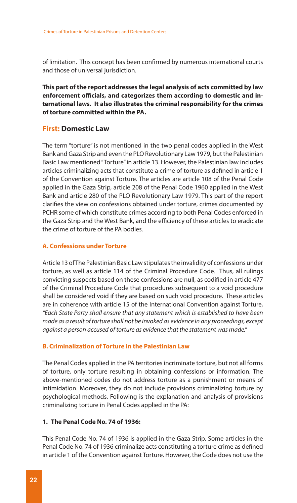of limitation. This concept has been confirmed by numerous international courts and those of universal jurisdiction.

**This part of the report addresses the legal analysis of acts committed by law enforcement officials, and categorizes them according to domestic and international laws. It also illustrates the criminal responsibility for the crimes of torture committed within the PA.**

#### **First: Domestic Law**

The term "torture" is not mentioned in the two penal codes applied in the West Bank and Gaza Strip and even the PLO Revolutionary Law 1979, but the Palestinian Basic Law mentioned "Torture" in article 13. However, the Palestinian law includes articles criminalizing acts that constitute a crime of torture as defined in article 1 of the Convention against Torture. The articles are article 108 of the Penal Code applied in the Gaza Strip, article 208 of the Penal Code 1960 applied in the West Bank and article 280 of the PLO Revolutionary Law 1979. This part of the report clarifies the view on confessions obtained under torture, crimes documented by PCHR some of which constitute crimes according to both Penal Codes enforced in the Gaza Strip and the West Bank, and the efficiency of these articles to eradicate the crime of torture of the PA bodies.

#### **A. Confessions under Torture**

Article 13 of The Palestinian Basic Law stipulates the invalidity of confessions under torture, as well as article 114 of the Criminal Procedure Code. Thus, all rulings convicting suspects based on these confessions are null, as codified in article 477 of the Criminal Procedure Code that procedures subsequent to a void procedure shall be considered void if they are based on such void procedure. These articles are in coherence with article 15 of the International Convention against Torture, *"Each State Party shall ensure that any statement which is established to have been made as a result of torture shall not be invoked as evidence in any proceedings, except against a person accused of torture as evidence that the statement was made."*

#### **B. Criminalization of Torture in the Palestinian Law**

The Penal Codes applied in the PA territories incriminate torture, but not all forms of torture, only torture resulting in obtaining confessions or information. The above-mentioned codes do not address torture as a punishment or means of intimidation. Moreover, they do not include provisions criminalizing torture by psychological methods. Following is the explanation and analysis of provisions criminalizing torture in Penal Codes applied in the PA:

#### **1. The Penal Code No. 74 of 1936:**

This Penal Code No. 74 of 1936 is applied in the Gaza Strip. Some articles in the Penal Code No. 74 of 1936 criminalize acts constituting a torture crime as defined in article 1 of the Convention against Torture. However, the Code does not use the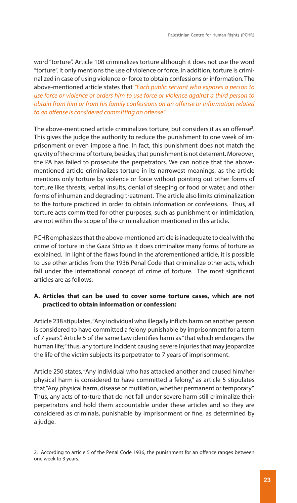word "torture". Article 108 criminalizes torture although it does not use the word "torture". It only mentions the use of violence or force. In addition, torture is criminalized in case of using violence or force to obtain confessions or information. The above-mentioned article states that *"Each public servant who exposes a person to use force or violence or orders him to use force or violence against a third person to obtain from him or from his family confessions on an offense or information related to an offense is considered committing an offense".*

The above-mentioned article criminalizes torture, but considers it as an offense<sup>2</sup>. This gives the judge the authority to reduce the punishment to one week of imprisonment or even impose a fine. In fact, this punishment does not match the gravity of the crime of torture, besides, that punishment is not deterrent. Moreover, the PA has failed to prosecute the perpetrators. We can notice that the abovementioned article criminalizes torture in its narrowest meanings, as the article mentions only torture by violence or force without pointing out other forms of torture like threats, verbal insults, denial of sleeping or food or water, and other forms of inhuman and degrading treatment. The article also limits criminalization to the torture practiced in order to obtain information or confessions. Thus, all torture acts committed for other purposes, such as punishment or intimidation, are not within the scope of the criminalization mentioned in this article.

PCHR emphasizes that the above-mentioned article is inadequate to deal with the crime of torture in the Gaza Strip as it does criminalize many forms of torture as explained. In light of the flaws found in the aforementioned article, it is possible to use other articles from the 1936 Penal Code that criminalize other acts, which fall under the international concept of crime of torture. The most significant articles are as follows:

#### **A. Articles that can be used to cover some torture cases, which are not practiced to obtain information or confession:**

Article 238 stipulates, "Any individual who illegally inflicts harm on another person is considered to have committed a felony punishable by imprisonment for a term of 7 years". Article 5 of the same Law identifies harm as "that which endangers the human life;" thus, any torture incident causing severe injuries that may jeopardize the life of the victim subjects its perpetrator to 7 years of imprisonment.

Article 250 states, "Any individual who has attacked another and caused him/her physical harm is considered to have committed a felony," as article 5 stipulates that "Any physical harm, disease or mutilation, whether permanent or temporary". Thus, any acts of torture that do not fall under severe harm still criminalize their perpetrators and hold them accountable under these articles and so they are considered as criminals, punishable by imprisonment or fine, as determined by a judge.

<sup>2.</sup> According to article 5 of the Penal Code 1936, the punishment for an offence ranges between one week to 3 years.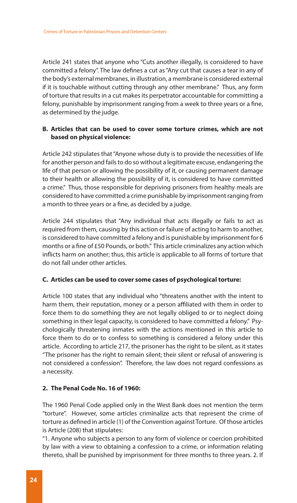Article 241 states that anyone who "Cuts another illegally, is considered to have committed a felony". The law defines a cut as "Any cut that causes a tear in any of the body's external membranes, in illustration, a membrane is considered external if it is touchable without cutting through any other membrane." Thus, any form of torture that results in a cut makes its perpetrator accountable for committing a felony, punishable by imprisonment ranging from a week to three years or a fine, as determined by the judge.

#### **B. Articles that can be used to cover some torture crimes, which are not based on physical violence:**

Article 242 stipulates that "Anyone whose duty is to provide the necessities of life for another person and fails to do so without a legitimate excuse, endangering the life of that person or allowing the possibility of it, or causing permanent damage to their health or allowing the possibility of it, is considered to have committed a crime." Thus, those responsible for depriving prisoners from healthy meals are considered to have committed a crime punishable by imprisonment ranging from a month to three years or a fine, as decided by a judge.

Article 244 stipulates that "Any individual that acts illegally or fails to act as required from them, causing by this action or failure of acting to harm to another, is considered to have committed a felony and is punishable by imprisonment for 6 months or a fine of £50 Pounds, or both." This article criminalizes any action which inflicts harm on another; thus, this article is applicable to all forms of torture that do not fall under other articles.

#### **C. Articles can be used to cover some cases of psychological torture:**

Article 100 states that any individual who "threatens another with the intent to harm them, their reputation, money or a person affiliated with them in order to force them to do something they are not legally obliged to or to neglect doing something in their legal capacity, is considered to have committed a felony." Psychologically threatening inmates with the actions mentioned in this article to force them to do or to confess to something is considered a felony under this article. According to article 217, the prisoner has the right to be silent, as it states "The prisoner has the right to remain silent; their silent or refusal of answering is not considered a confession". Therefore, the law does not regard confessions as a necessity.

#### **2. The Penal Code No. 16 of 1960:**

The 1960 Penal Code applied only in the West Bank does not mention the term "torture". However, some articles criminalize acts that represent the crime of torture as defined in article (1) of the Convention against Torture. Of those articles is Article (208) that stipulates:

"1. Anyone who subjects a person to any form of violence or coercion prohibited by law with a view to obtaining a confession to a crime, or information relating thereto, shall be punished by imprisonment for three months to three years. 2. If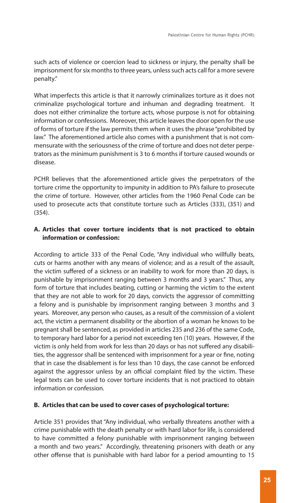such acts of violence or coercion lead to sickness or injury, the penalty shall be imprisonment for six months to three years, unless such acts call for a more severe penalty."

What imperfects this article is that it narrowly criminalizes torture as it does not criminalize psychological torture and inhuman and degrading treatment. It does not either criminalize the torture acts, whose purpose is not for obtaining information or confessions. Moreover, this article leaves the door open for the use of forms of torture if the law permits them when it uses the phrase "prohibited by law." The aforementioned article also comes with a punishment that is not commensurate with the seriousness of the crime of torture and does not deter perpetrators as the minimum punishment is 3 to 6 months if torture caused wounds or disease.

PCHR believes that the aforementioned article gives the perpetrators of the torture crime the opportunity to impunity in addition to PA's failure to prosecute the crime of torture. However, other articles from the 1960 Penal Code can be used to prosecute acts that constitute torture such as Articles (333), (351) and (354).

#### **A. Articles that cover torture incidents that is not practiced to obtain information or confession:**

According to article 333 of the Penal Code, "Any individual who willfully beats, cuts or harms another with any means of violence; and as a result of the assault, the victim suffered of a sickness or an inability to work for more than 20 days, is punishable by imprisonment ranging between 3 months and 3 years." Thus, any form of torture that includes beating, cutting or harming the victim to the extent that they are not able to work for 20 days, convicts the aggressor of committing a felony and is punishable by imprisonment ranging between 3 months and 3 years. Moreover, any person who causes, as a result of the commission of a violent act, the victim a permanent disability or the abortion of a woman he knows to be pregnant shall be sentenced, as provided in articles 235 and 236 of the same Code, to temporary hard labor for a period not exceeding ten (10) years. However, if the victim is only held from work for less than 20 days or has not suffered any disabilities, the aggressor shall be sentenced with imprisonment for a year or fine, noting that in case the disablement is for less than 10 days, the case cannot be enforced against the aggressor unless by an official complaint filed by the victim. These legal texts can be used to cover torture incidents that is not practiced to obtain information or confession.

#### **B. Articles that can be used to cover cases of psychological torture:**

Article 351 provides that "Any individual, who verbally threatens another with a crime punishable with the death penalty or with hard labor for life, is considered to have committed a felony punishable with imprisonment ranging between a month and two years." Accordingly, threatening prisoners with death or any other offense that is punishable with hard labor for a period amounting to 15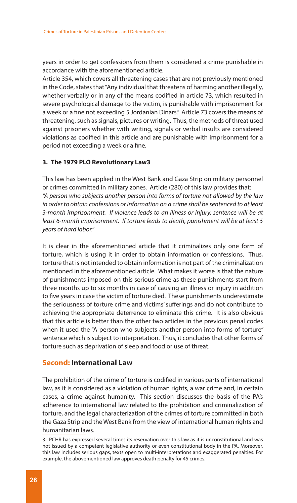years in order to get confessions from them is considered a crime punishable in accordance with the aforementioned article.

Article 354, which covers all threatening cases that are not previously mentioned in the Code, states that "Any individual that threatens of harming another illegally, whether verbally or in any of the means codified in article 73, which resulted in severe psychological damage to the victim, is punishable with imprisonment for a week or a fine not exceeding 5 Jordanian Dinars." Article 73 covers the means of threatening, such as signals, pictures or writing. Thus, the methods of threat used against prisoners whether with writing, signals or verbal insults are considered violations as codified in this article and are punishable with imprisonment for a period not exceeding a week or a fine.

#### **3. The 1979 PLO Revolutionary Law3**

This law has been applied in the West Bank and Gaza Strip on military personnel or crimes committed in military zones. Article (280) of this law provides that: *"A person who subjects another person into forms of torture not allowed by the law in order to obtain confessions or information on a crime shall be sentenced to at least 3-month imprisonment. If violence leads to an illness or injury, sentence will be at least 6-month imprisonment. If torture leads to death, punishment will be at least 5 years of hard labor."*

It is clear in the aforementioned article that it criminalizes only one form of torture, which is using it in order to obtain information or confessions. Thus, torture that is not intended to obtain information is not part of the criminalization mentioned in the aforementioned article. What makes it worse is that the nature of punishments imposed on this serious crime as these punishments start from three months up to six months in case of causing an illness or injury in addition to five years in case the victim of torture died. These punishments underestimate the seriousness of torture crime and victims' sufferings and do not contribute to achieving the appropriate deterrence to eliminate this crime. It is also obvious that this article is better than the other two articles in the previous penal codes when it used the "A person who subjects another person into forms of torture" sentence which is subject to interpretation. Thus, it concludes that other forms of torture such as deprivation of sleep and food or use of threat.

### **Second: International Law**

The prohibition of the crime of torture is codified in various parts of international law, as it is considered as a violation of human rights, a war crime and, in certain cases, a crime against humanity. This section discusses the basis of the PA's adherence to international law related to the prohibition and criminalization of torture, and the legal characterization of the crimes of torture committed in both the Gaza Strip and the West Bank from the view of international human rights and humanitarian laws.

<sup>3.</sup> PCHR has expressed several times its reservation over this law as it is unconstitutional and was not issued by a competent legislative authority or even constitutional body in the PA. Moreover, this law includes serious gaps, texts open to multi-interpretations and exaggerated penalties. For example, the abovementioned law approves death penalty for 45 crimes.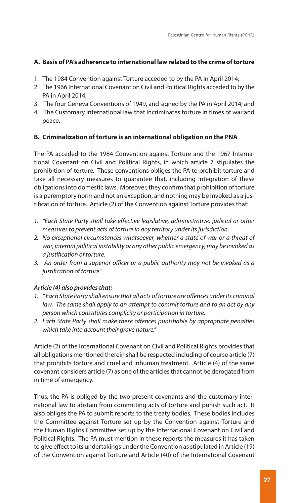### **A. Basis of PA's adherence to international law related to the crime of torture**

- 1. The 1984 Convention against Torture acceded to by the PA in April 2014;
- 2. The 1966 International Covenant on Civil and Political Rights acceded to by the PA in April 2014;
- 3. The four Geneva Conventions of 1949, and signed by the PA in April 2014; and
- 4. The Customary international law that incriminates torture in times of war and peace.

### **B. Criminalization of torture is an international obligation on the PNA**

The PA acceded to the 1984 Convention against Torture and the 1967 International Covenant on Civil and Political Rights, in which article 7 stipulates the prohibition of torture. These conventions obliges the PA to prohibit torture and take all necessary measures to guarantee that, including integration of these obligations into domestic laws. Moreover, they confirm that prohibition of torture is a peremptory norm and not an exception, and nothing may be invoked as a justification of torture. Article (2) of the Convention against Torture provides that:

- *1. "Each State Party shall take effective legislative, administrative, judicial or other measures to prevent acts of torture in any territory under its jurisdiction.*
- *2. No exceptional circumstances whatsoever, whether a state of war or a threat of war, internal political instability or any other public emergency, may be invoked as a justification of torture.*
- *3. An order from a superior officer or a public authority may not be invoked as a justification of torture."*

### *Article (4) also provides that:*

- *1. " Each State Party shall ensure that all acts of torture are offences under its criminal law. The same shall apply to an attempt to commit torture and to an act by any person which constitutes complicity or participation in torture.*
- *2. Each State Party shall make these offences punishable by appropriate penalties which take into account their grave nature."*

Article (2) of the International Covenant on Civil and Political Rights provides that all obligations mentioned therein shall be respected including of course article (7) that prohibits torture and cruel and inhuman treatment. Article (4) of the same covenant considers article (7) as one of the articles that cannot be derogated from in time of emergency.

Thus, the PA is obliged by the two present covenants and the customary international law to abstain from committing acts of torture and punish such act. It also obliges the PA to submit reports to the treaty bodies. These bodies includes the Committee against Torture set up by the Convention against Torture and the Human Rights Committee set up by the International Covenant on Civil and Political Rights. The PA must mention in these reports the measures it has taken to give effect to its undertakings under the Convention as stipulated in Article (19) of the Convention against Torture and Article (40) of the International Covenant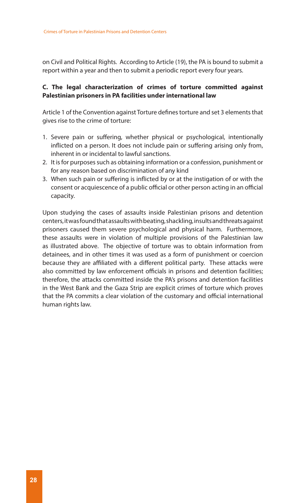on Civil and Political Rights. According to Article (19), the PA is bound to submit a report within a year and then to submit a periodic report every four years.

#### **C. The legal characterization of crimes of torture committed against Palestinian prisoners in PA facilities under international law**

Article 1 of the Convention against Torture defines torture and set 3 elements that gives rise to the crime of torture:

- 1. Severe pain or suffering, whether physical or psychological, intentionally inflicted on a person. It does not include pain or suffering arising only from, inherent in or incidental to lawful sanctions.
- 2. It is for purposes such as obtaining information or a confession, punishment or for any reason based on discrimination of any kind
- 3. When such pain or suffering is inflicted by or at the instigation of or with the consent or acquiescence of a public official or other person acting in an official capacity.

Upon studying the cases of assaults inside Palestinian prisons and detention centers, it was found that assaults with beating, shackling, insults and threats against prisoners caused them severe psychological and physical harm. Furthermore, these assaults were in violation of multiple provisions of the Palestinian law as illustrated above. The objective of torture was to obtain information from detainees, and in other times it was used as a form of punishment or coercion because they are affiliated with a different political party. These attacks were also committed by law enforcement officials in prisons and detention facilities; therefore, the attacks committed inside the PA's prisons and detention facilities in the West Bank and the Gaza Strip are explicit crimes of torture which proves that the PA commits a clear violation of the customary and official international human rights law.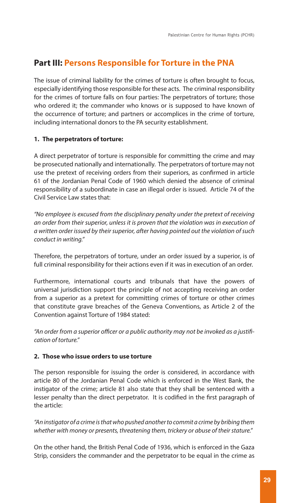# **Part III: Persons Responsible for Torture in the PNA**

The issue of criminal liability for the crimes of torture is often brought to focus, especially identifying those responsible for these acts. The criminal responsibility for the crimes of torture falls on four parties: The perpetrators of torture; those who ordered it; the commander who knows or is supposed to have known of the occurrence of torture; and partners or accomplices in the crime of torture, including international donors to the PA security establishment.

#### **1. The perpetrators of torture:**

A direct perpetrator of torture is responsible for committing the crime and may be prosecuted nationally and internationally. The perpetrators of torture may not use the pretext of receiving orders from their superiors, as confirmed in article 61 of the Jordanian Penal Code of 1960 which denied the absence of criminal responsibility of a subordinate in case an illegal order is issued. Article 74 of the Civil Service Law states that:

*"No employee is excused from the disciplinary penalty under the pretext of receiving an order from their superior, unless it is proven that the violation was in execution of a written order issued by their superior, after having pointed out the violation of such conduct in writing."* 

Therefore, the perpetrators of torture, under an order issued by a superior, is of full criminal responsibility for their actions even if it was in execution of an order.

Furthermore, international courts and tribunals that have the powers of universal jurisdiction support the principle of not accepting receiving an order from a superior as a pretext for committing crimes of torture or other crimes that constitute grave breaches of the Geneva Conventions, as Article 2 of the Convention against Torture of 1984 stated:

*"An order from a superior officer or a public authority may not be invoked as a justification of torture."*

#### **2. Those who issue orders to use torture**

The person responsible for issuing the order is considered, in accordance with article 80 of the Jordanian Penal Code which is enforced in the West Bank, the instigator of the crime; article 81 also state that they shall be sentenced with a lesser penalty than the direct perpetrator. It is codified in the first paragraph of the article:

*"An instigator of a crime is that who pushed another to commit a crime by bribing them whether with money or presents, threatening them, trickery or abuse of their stature."*

On the other hand, the British Penal Code of 1936, which is enforced in the Gaza Strip, considers the commander and the perpetrator to be equal in the crime as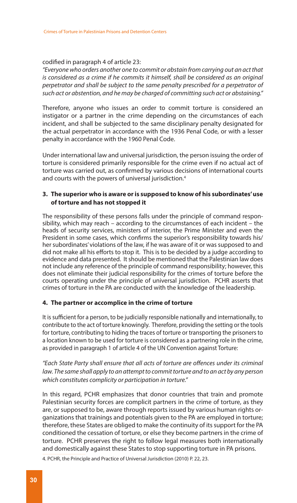#### codified in paragraph 4 of article 23:

*"Everyone who orders another one to commit or abstain from carrying out an act that is considered as a crime if he commits it himself, shall be considered as an original perpetrator and shall be subject to the same penalty prescribed for a perpetrator of such act or abstention, and he may be charged of committing such act or abstaining."*

Therefore, anyone who issues an order to commit torture is considered an instigator or a partner in the crime depending on the circumstances of each incident, and shall be subjected to the same disciplinary penalty designated for the actual perpetrator in accordance with the 1936 Penal Code, or with a lesser penalty in accordance with the 1960 Penal Code.

Under international law and universal jurisdiction, the person issuing the order of torture is considered primarily responsible for the crime even if no actual act of torture was carried out, as confirmed by various decisions of international courts and courts with the powers of universal jurisdiction.<sup>4</sup>

#### **3. The superior who is aware or is supposed to know of his subordinates' use of torture and has not stopped it**

The responsibility of these persons falls under the principle of command responsibility, which may reach – according to the circumstances of each incident – the heads of security services, ministers of interior, the Prime Minister and even the President in some cases, which confirms the superior's responsibility towards his/ her subordinates' violations of the law, if he was aware of it or was supposed to and did not make all his efforts to stop it. This is to be decided by a judge according to evidence and data presented. It should be mentioned that the Palestinian law does not include any reference of the principle of command responsibility; however, this does not eliminate their judicial responsibility for the crimes of torture before the courts operating under the principle of universal jurisdiction. PCHR asserts that crimes of torture in the PA are conducted with the knowledge of the leadership.

#### **4. The partner or accomplice in the crime of torture**

It is sufficient for a person, to be judicially responsible nationally and internationally, to contribute to the act of torture knowingly. Therefore, providing the setting or the tools for torture, contributing to hiding the traces of torture or transporting the prisoners to a location known to be used for torture is considered as a partnering role in the crime, as provided in paragraph 1 of article 4 of the UN Convention against Torture:

#### *"Each State Party shall ensure that all acts of torture are offences under its criminal law. The same shall apply to an attempt to commit torture and to an act by any person which constitutes complicity or participation in torture."*

In this regard, PCHR emphasizes that donor countries that train and promote Palestinian security forces are complicit partners in the crime of torture, as they are, or supposed to be, aware through reports issued by various human rights organizations that trainings and potentials given to the PA are employed in torture; therefore, these States are obliged to make the continuity of its support for the PA conditioned the cessation of torture, or else they become partners in the crime of torture. PCHR preserves the right to follow legal measures both internationally and domestically against these States to stop supporting torture in PA prisons.

4. PCHR, the Principle and Practice of Universal Jurisdiction (2010) P. 22, 23.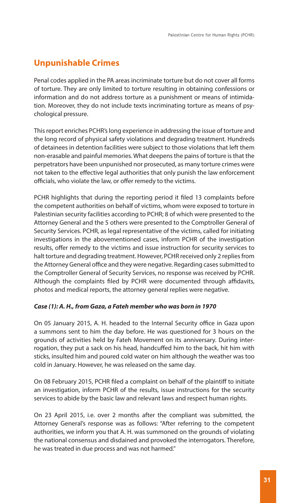# **Unpunishable Crimes**

Penal codes applied in the PA areas incriminate torture but do not cover all forms of torture. They are only limited to torture resulting in obtaining confessions or information and do not address torture as a punishment or means of intimidation. Moreover, they do not include texts incriminating torture as means of psychological pressure.

This report enriches PCHR's long experience in addressing the issue of torture and the long record of physical safety violations and degrading treatment. Hundreds of detainees in detention facilities were subject to those violations that left them non-erasable and painful memories. What deepens the pains of torture is that the perpetrators have been unpunished nor prosecuted, as many torture crimes were not taken to the effective legal authorities that only punish the law enforcement officials, who violate the law, or offer remedy to the victims.

PCHR highlights that during the reporting period it filed 13 complaints before the competent authorities on behalf of victims, whom were exposed to torture in Palestinian security facilities according to PCHR; 8 of which were presented to the Attorney General and the 5 others were presented to the Comptroller General of Security Services. PCHR, as legal representative of the victims, called for initiating investigations in the abovementioned cases, inform PCHR of the investigation results, offer remedy to the victims and issue instruction for security services to halt torture and degrading treatment. However, PCHR received only 2 replies from the Attorney General office and they were negative. Regarding cases submitted to the Comptroller General of Security Services, no response was received by PCHR. Although the complaints filed by PCHR were documented through affidavits, photos and medical reports, the attorney general replies were negative.

#### *Case (1): A. H., from Gaza, a Fateh member who was born in 1970*

On 05 January 2015, A. H. headed to the Internal Security office in Gaza upon a summons sent to him the day before. He was questioned for 3 hours on the grounds of activities held by Fateh Movement on its anniversary. During interrogation, they put a sack on his head, handcuffed him to the back, hit him with sticks, insulted him and poured cold water on him although the weather was too cold in January. However, he was released on the same day.

On 08 February 2015, PCHR filed a complaint on behalf of the plaintiff to initiate an investigation, inform PCHR of the results, issue instructions for the security services to abide by the basic law and relevant laws and respect human rights.

On 23 April 2015, i.e. over 2 months after the compliant was submitted, the Attorney General's response was as follows: "After referring to the competent authorities, we inform you that A. H. was summoned on the grounds of violating the national consensus and disdained and provoked the interrogators. Therefore, he was treated in due process and was not harmed."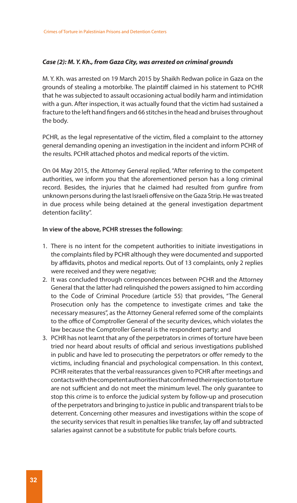#### *Case (2): M. Y. Kh., from Gaza City, was arrested on criminal grounds*

M. Y. Kh. was arrested on 19 March 2015 by Shaikh Redwan police in Gaza on the grounds of stealing a motorbike. The plaintiff claimed in his statement to PCHR that he was subjected to assault occasioning actual bodily harm and intimidation with a gun. After inspection, it was actually found that the victim had sustained a fracture to the left hand fingers and 66 stitches in the head and bruises throughout the body.

PCHR, as the legal representative of the victim, filed a complaint to the attorney general demanding opening an investigation in the incident and inform PCHR of the results. PCHR attached photos and medical reports of the victim.

On 04 May 2015, the Attorney General replied, "After referring to the competent authorities, we inform you that the aforementioned person has a long criminal record. Besides, the injuries that he claimed had resulted from gunfire from unknown persons during the last Israeli offensive on the Gaza Strip. He was treated in due process while being detained at the general investigation department detention facility".

#### **In view of the above, PCHR stresses the following:**

- 1. There is no intent for the competent authorities to initiate investigations in the complaints filed by PCHR although they were documented and supported by affidavits, photos and medical reports. Out of 13 complaints, only 2 replies were received and they were negative;
- 2. It was concluded through correspondences between PCHR and the Attorney General that the latter had relinquished the powers assigned to him according to the Code of Criminal Procedure (article 55) that provides, "The General Prosecution only has the competence to investigate crimes and take the necessary measures", as the Attorney General referred some of the complaints to the office of Comptroller General of the security devices, which violates the law because the Comptroller General is the respondent party; and
- 3. PCHR has not learnt that any of the perpetrators in crimes of torture have been tried nor heard about results of official and serious investigations published in public and have led to prosecuting the perpetrators or offer remedy to the victims, including financial and psychological compensation. In this context, PCHR reiterates that the verbal reassurances given to PCHR after meetings and contacts with the competent authorities that confirmed their rejection to torture are not sufficient and do not meet the minimum level. The only guarantee to stop this crime is to enforce the judicial system by follow-up and prosecution of the perpetrators and bringing to justice in public and transparent trials to be deterrent. Concerning other measures and investigations within the scope of the security services that result in penalties like transfer, lay off and subtracted salaries against cannot be a substitute for public trials before courts.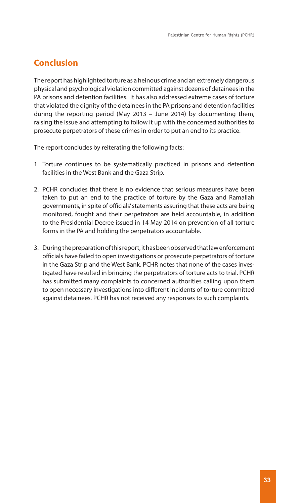# **Conclusion**

The report has highlighted torture as a heinous crime and an extremely dangerous physical and psychological violation committed against dozens of detainees in the PA prisons and detention facilities. It has also addressed extreme cases of torture that violated the dignity of the detainees in the PA prisons and detention facilities during the reporting period (May 2013 – June 2014) by documenting them, raising the issue and attempting to follow it up with the concerned authorities to prosecute perpetrators of these crimes in order to put an end to its practice.

The report concludes by reiterating the following facts:

- 1. Torture continues to be systematically practiced in prisons and detention facilities in the West Bank and the Gaza Strip.
- 2. PCHR concludes that there is no evidence that serious measures have been taken to put an end to the practice of torture by the Gaza and Ramallah governments, in spite of officials' statements assuring that these acts are being monitored, fought and their perpetrators are held accountable, in addition to the Presidential Decree issued in 14 May 2014 on prevention of all torture forms in the PA and holding the perpetrators accountable.
- 3. During the preparation of this report, it has been observed that law enforcement officials have failed to open investigations or prosecute perpetrators of torture in the Gaza Strip and the West Bank. PCHR notes that none of the cases investigated have resulted in bringing the perpetrators of torture acts to trial. PCHR has submitted many complaints to concerned authorities calling upon them to open necessary investigations into different incidents of torture committed against detainees. PCHR has not received any responses to such complaints.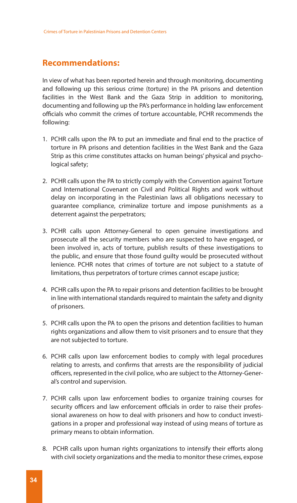## **Recommendations:**

In view of what has been reported herein and through monitoring, documenting and following up this serious crime (torture) in the PA prisons and detention facilities in the West Bank and the Gaza Strip in addition to monitoring, documenting and following up the PA's performance in holding law enforcement officials who commit the crimes of torture accountable, PCHR recommends the following:

- 1. PCHR calls upon the PA to put an immediate and final end to the practice of torture in PA prisons and detention facilities in the West Bank and the Gaza Strip as this crime constitutes attacks on human beings' physical and psychological safety;
- 2. PCHR calls upon the PA to strictly comply with the Convention against Torture and International Covenant on Civil and Political Rights and work without delay on incorporating in the Palestinian laws all obligations necessary to guarantee compliance, criminalize torture and impose punishments as a deterrent against the perpetrators;
- 3. PCHR calls upon Attorney-General to open genuine investigations and prosecute all the security members who are suspected to have engaged, or been involved in, acts of torture, publish results of these investigations to the public, and ensure that those found guilty would be prosecuted without lenience. PCHR notes that crimes of torture are not subject to a statute of limitations, thus perpetrators of torture crimes cannot escape justice;
- 4. PCHR calls upon the PA to repair prisons and detention facilities to be brought in line with international standards required to maintain the safety and dignity of prisoners.
- 5. PCHR calls upon the PA to open the prisons and detention facilities to human rights organizations and allow them to visit prisoners and to ensure that they are not subjected to torture.
- 6. PCHR calls upon law enforcement bodies to comply with legal procedures relating to arrests, and confirms that arrests are the responsibility of judicial officers, represented in the civil police, who are subject to the Attorney-General's control and supervision.
- 7. PCHR calls upon law enforcement bodies to organize training courses for security officers and law enforcement officials in order to raise their professional awareness on how to deal with prisoners and how to conduct investigations in a proper and professional way instead of using means of torture as primary means to obtain information.
- 8. PCHR calls upon human rights organizations to intensify their efforts along with civil society organizations and the media to monitor these crimes, expose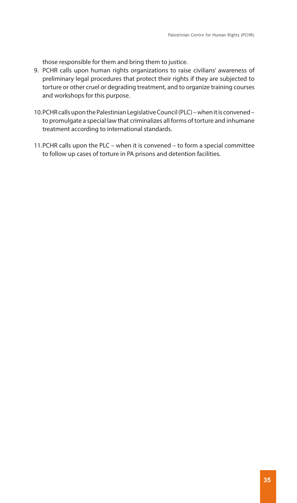those responsible for them and bring them to justice.

- 9. PCHR calls upon human rights organizations to raise civilians' awareness of preliminary legal procedures that protect their rights if they are subjected to torture or other cruel or degrading treatment, and to organize training courses and workshops for this purpose.
- 10.PCHR calls upon the Palestinian Legislative Council (PLC) when it is convened to promulgate a special law that criminalizes all forms of torture and inhumane treatment according to international standards.
- 11.PCHR calls upon the PLC when it is convened to form a special committee to follow up cases of torture in PA prisons and detention facilities.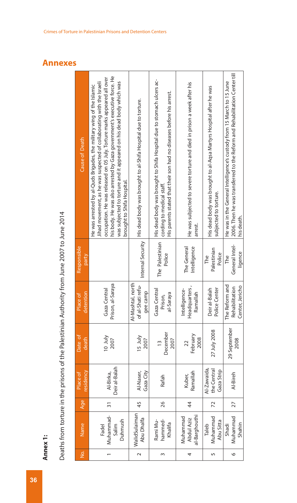Annex 1:

Deaths from torture in the prisons of the Palestinian Authority from June 2007 to June 2014 **Annex 1:**<br>Deaths from torture in the prisons of the Palestinian Authority from June 2007 to June 2014

|                       | Cause of Death        | his body. He was also arrested by Gaza government's executive force. He<br>occupation. He was released on 05 July. Torture marks appeared all over<br>Jihad movement, as he was suspected of collaborating with the Israeli<br>was subjected to torture and it appeared on his dead body which was<br>He was arrested by al-Quds Brigades, the military wing of the Islamic<br>brought to Shifa Hospital. | His dead body was brought to al-Shifa Hospital due to torture. | His dead body was brought to Shifa Hospital due to stomach ulcers ac-<br>His parents stated that their son had no diseases before his arrest.<br>cording to medical staff. | He was subjected to severe torture and died in prison a week after his<br>arrest. | His dead body was brought to al-Aqsa Martyrs Hospital after he was<br>subjected to torture. | 2006. Then he was transferred to the Reform and Rehabilitation Center till<br>He was in the General Intelligence's custody from 15 March to 15 June<br>his death. |
|-----------------------|-----------------------|-----------------------------------------------------------------------------------------------------------------------------------------------------------------------------------------------------------------------------------------------------------------------------------------------------------------------------------------------------------------------------------------------------------|----------------------------------------------------------------|----------------------------------------------------------------------------------------------------------------------------------------------------------------------------|-----------------------------------------------------------------------------------|---------------------------------------------------------------------------------------------|-------------------------------------------------------------------------------------------------------------------------------------------------------------------|
|                       | Responsible<br>party  |                                                                                                                                                                                                                                                                                                                                                                                                           | Internal Security                                              | The Palestinian<br>Police                                                                                                                                                  | The General<br>Intelligence                                                       | Palestinian<br>Police<br>The                                                                | General Intel-<br>ligence<br>The                                                                                                                                  |
|                       | detention<br>Place of | Prison, al-Saraya<br>Gaza Central                                                                                                                                                                                                                                                                                                                                                                         | Al-Mashtal, north<br>of al-Shati refu-<br>gee camp             | Gaza Central<br>al-Saraya<br>Prison,                                                                                                                                       | Headquarters,<br>Intelligence-<br>Ramallah                                        | Deir al-Balah<br>Police Center                                                              | The Reform and<br>Center, Jericho<br>Rehabilitation                                                                                                               |
|                       | Date of<br>death      | VInr 01<br>2007                                                                                                                                                                                                                                                                                                                                                                                           | 15 July<br>2007                                                | December<br>$\tilde{c}$<br>200                                                                                                                                             | February<br>2008<br>$\overline{2}$                                                | 2008<br>27 July                                                                             | 29 September<br>2008                                                                                                                                              |
| residency<br>Place of |                       | Deir al-Balah<br>Al-Birka,                                                                                                                                                                                                                                                                                                                                                                                | Gaza City<br>Al-Naser,                                         | Rafah                                                                                                                                                                      | Ramallah<br>Kuber,                                                                | Al-Zawaida,<br>the Central<br>Gaza Strip                                                    | Al-Bireh                                                                                                                                                          |
|                       | Age                   | $\overline{31}$                                                                                                                                                                                                                                                                                                                                                                                           | 45                                                             | 26                                                                                                                                                                         | $\ddot{4}$                                                                        | 72                                                                                          | 27                                                                                                                                                                |
|                       | Name                  | Muhammad-<br>Duhmush<br>Fadel<br>Salim                                                                                                                                                                                                                                                                                                                                                                    | MalidSulaiman<br>Abu Dhalfa                                    | hammed-<br>Rami Mu-<br>Khalifa                                                                                                                                             | al-Barghouthi<br>Muhammad<br><b>Abdul Aziz</b>                                    | Muhammad<br>Abu Sitta<br>Taleb                                                              | Muhammad<br>Shahin<br>Shadi                                                                                                                                       |
|                       | $\frac{1}{2}$         |                                                                                                                                                                                                                                                                                                                                                                                                           | $\sim$                                                         | ω                                                                                                                                                                          | 4                                                                                 | 5                                                                                           | $\circ$                                                                                                                                                           |
|                       |                       |                                                                                                                                                                                                                                                                                                                                                                                                           |                                                                |                                                                                                                                                                            |                                                                                   |                                                                                             |                                                                                                                                                                   |

**Annexes**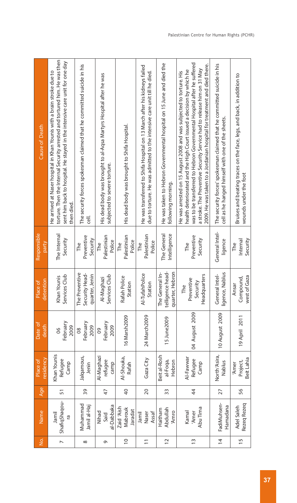| <b>Cause of Death</b> | torture. Then the Internal Security arrested and tortured him. He was then<br>sent him back to hospital. He stayed in the intensive care unit for one day<br>He arrived at Naser hospital in Khan Younis with a brain stroke due to<br>then died. | The security forces spokesman claimed that he committed suicide in his<br>$\overline{\overline{e}}$ | His dead body was brought to al-Aqsa Martyrs Hospital after he was<br>subjected to severe torture | His dead body was brought to Shifa Hospital. | He was transferred to Shifa Hospital on 13 March after his kidneys failed<br>due to torture. He was admitted to the intensive care unit till he died | He was taken to Hebron Governmental hospital on 15 June and died the<br>following morning. | was to be transferred to Hebron Governmental Hospital after he suffered<br>2009. He was taken to a Jordanian hospital for treatment and died there.<br>a stroke. The Preventive Security Service had to release him on 31 May<br>health deteriorated and the High Court issued a decision by which he<br>He was arrested on 15 August 2008 and was subjected to torture. His | The security forces' spokesman claimed that he committed suicide in his<br>cell as he hanged himself with one of the sheets. | Bruises and beating traces on the face, legs, and back, in addition to<br>wounds under the foot |
|-----------------------|---------------------------------------------------------------------------------------------------------------------------------------------------------------------------------------------------------------------------------------------------|-----------------------------------------------------------------------------------------------------|---------------------------------------------------------------------------------------------------|----------------------------------------------|------------------------------------------------------------------------------------------------------------------------------------------------------|--------------------------------------------------------------------------------------------|------------------------------------------------------------------------------------------------------------------------------------------------------------------------------------------------------------------------------------------------------------------------------------------------------------------------------------------------------------------------------|------------------------------------------------------------------------------------------------------------------------------|-------------------------------------------------------------------------------------------------|
| Responsible<br>party  | The Internal<br>Security                                                                                                                                                                                                                          | Preventive<br>Security<br>The                                                                       | Palestinian<br>Police<br>The                                                                      | Palestinian<br>Police<br>The                 | Palestinian<br>Police<br>The                                                                                                                         | The General<br>Intelligence                                                                | Preventive<br>Security<br>The                                                                                                                                                                                                                                                                                                                                                | General Intel-<br>ligence                                                                                                    | Security<br>Internal<br>The                                                                     |
| detention<br>Place of | Services Club<br>Khan Younis                                                                                                                                                                                                                      | The Preventive<br>Security Head-<br>quarter, Jenin                                                  | Services Club<br>Al-Maghazi                                                                       | Rafah Police<br>Station                      | Al-TufahPolice<br>Station                                                                                                                            | telligence head-<br>quarter, Hebron<br>The General In-                                     | Headquarters<br>Preventive<br>Security<br>The                                                                                                                                                                                                                                                                                                                                | ligence, Nablus<br>General Intel-                                                                                            | west of Gaza<br>Compound,<br>Ansar                                                              |
| ॅ<br>death<br>Date    | February<br>8<br>2009                                                                                                                                                                                                                             | February<br>$\infty$<br>2009                                                                        | February<br>ල<br>2009                                                                             | 16 Marsh2009                                 | 24 March 2009                                                                                                                                        | 15 June2009                                                                                | 2009<br>04 August                                                                                                                                                                                                                                                                                                                                                            | 2009<br>10 August                                                                                                            | 2011<br>19 April                                                                                |
| esidency<br>Place of  | Khan Younis<br>Refugee<br>Camp                                                                                                                                                                                                                    | Jalqamous,<br>Jenin                                                                                 | Al-Maghazi<br>refugee<br>camp                                                                     | Al-Shouka,<br>Rafah                          | Gaza City                                                                                                                                            | Beit al-Rosh<br>al-Foqa,<br>Hebron                                                         | Al-Fawwar<br>Refugee<br>Camp                                                                                                                                                                                                                                                                                                                                                 | North 'Asira,<br>Nablus                                                                                                      | Beit Lahia<br>Project,<br>'Amer                                                                 |
| Age                   | 51                                                                                                                                                                                                                                                | 39                                                                                                  | 47                                                                                                | $\overline{6}$                               | 20                                                                                                                                                   | 33                                                                                         | $\overline{4}$                                                                                                                                                                                                                                                                                                                                                               | 27                                                                                                                           | 56                                                                                              |
| Name                  | ShafiqShaqou-<br>Jamil<br><u>ල</u>                                                                                                                                                                                                                | Muhammad<br>Jamil al-Haj                                                                            | al-Dabbaka<br>Nihad<br>Said                                                                       | Zaid 'Aish<br>Mabrouk<br>Jaradat             | Naser<br>Assaf<br>Jamil                                                                                                                              | Abdullah<br>Haitham<br>'Amro                                                               | Abu Tima<br>Kamal<br>'Amer                                                                                                                                                                                                                                                                                                                                                   | FadiMuhsen-<br>Hamadana                                                                                                      | Rezeq Rezeq<br>Adel Saleh                                                                       |
| $\frac{1}{2}$         | $\overline{ }$                                                                                                                                                                                                                                    | $\infty$                                                                                            | Q                                                                                                 | $\overline{0}$                               | $\overline{1}$                                                                                                                                       | $\overline{c}$                                                                             | $\frac{3}{2}$                                                                                                                                                                                                                                                                                                                                                                | $\overline{4}$                                                                                                               | $\overline{1}$                                                                                  |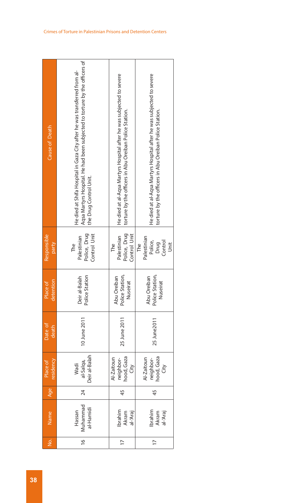| Cause of Death        | Aqsa Martyrs Hospital. He had been subjected to torture by the officers of<br>He died at Shifa Hospital in Gaza City after he was transferred from al-<br>the Drug Control Unit. | He died at al-Aqsa Martyrs Hospital after he was subjected to severe<br>torture by the officers in Abu Oreiban Police Station. | He died at al-Aqsa Martyrs Hospital after he was subjected to severe<br>torture by the officers in Abu Oreiban Police Station. |
|-----------------------|----------------------------------------------------------------------------------------------------------------------------------------------------------------------------------|--------------------------------------------------------------------------------------------------------------------------------|--------------------------------------------------------------------------------------------------------------------------------|
| Responsible<br>party  | Control Unit<br>Police, Drug<br>Palestinian<br>The                                                                                                                               | Police, Drug<br>Control Unit<br>Palestinian<br>Fhe                                                                             | Palestinian<br>Police,<br>Control<br>Drug<br>Unit<br>The                                                                       |
| detention<br>Place of | Police Station<br>Deir al-Balah                                                                                                                                                  | Police Station,<br>Abu Oreiban<br>Nuseirat                                                                                     | Police Station,<br>Abu Oreiban<br>Nuseirat                                                                                     |
| death<br>Date         | 10 June 2011                                                                                                                                                                     | 25 June 2011                                                                                                                   | 25 June2011                                                                                                                    |
| residency<br>Place of | Deir al-Balah<br>al-Salqa,<br>Wadi                                                                                                                                               | neighbor-<br>hood, Gaza<br>City<br>Al-Zaitoun                                                                                  | Al-Zaitoun<br>neighbor-<br>hood, Gaza<br>City                                                                                  |
| Age                   | 24                                                                                                                                                                               | 45                                                                                                                             | 45                                                                                                                             |
| Name                  | Muhammad<br>al-Hamidi<br>Hassan                                                                                                                                                  | lbrahim<br>Akram<br>al-'Araj                                                                                                   | lbrahim<br>Akram<br>al-'Araj                                                                                                   |
| g                     | $\frac{6}{1}$                                                                                                                                                                    | $\overline{1}$                                                                                                                 | $\overline{17}$                                                                                                                |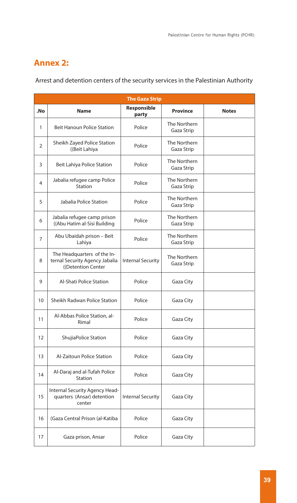# **Annex 2:**

Arrest and detention centers of the security services in the Palestinian Authority

|                | <b>The Gaza Strip</b>                                                               |                          |                            |              |  |  |  |
|----------------|-------------------------------------------------------------------------------------|--------------------------|----------------------------|--------------|--|--|--|
| .No            | <b>Name</b>                                                                         | Responsible<br>party     | <b>Province</b>            | <b>Notes</b> |  |  |  |
| 1              | <b>Beit Hanoun Police Station</b>                                                   | Police                   | The Northern<br>Gaza Strip |              |  |  |  |
| $\overline{2}$ | Sheikh Zayed Police Station<br>((Beit Lahiya                                        | Police                   | The Northern<br>Gaza Strip |              |  |  |  |
| 3              | Beit Lahiya Police Station                                                          | Police                   | The Northern<br>Gaza Strip |              |  |  |  |
| 4              | Jabalia refugee camp Police<br>Station                                              | Police                   | The Northern<br>Gaza Strip |              |  |  |  |
| 5              | Jabalia Police Station                                                              | Police                   | The Northern<br>Gaza Strip |              |  |  |  |
| 6              | Jabalia refugee camp prison<br>((Abu Hatim al-Sisi Building                         | Police                   | The Northern<br>Gaza Strip |              |  |  |  |
| 7              | Abu Ubaidah prison - Beit<br>Lahiya                                                 | Police                   | The Northern<br>Gaza Strip |              |  |  |  |
| 8              | The Headquarters of the In-<br>ternal Security Agency Jabalia<br>((Detention Center | <b>Internal Security</b> | The Northern<br>Gaza Strip |              |  |  |  |
| 9              | Al-Shati Police Station                                                             | Police                   | Gaza City                  |              |  |  |  |
| 10             | Sheikh Radwan Police Station                                                        | Police                   | Gaza City                  |              |  |  |  |
| 11             | Al-Abbas Police Station, al-<br>Rimal                                               | Police                   | Gaza City                  |              |  |  |  |
| 12             | ShujiaPolice Station                                                                | Police                   | Gaza City                  |              |  |  |  |
| 13             | Al-Zaitoun Police Station                                                           | Police                   | Gaza City                  |              |  |  |  |
| 14             | Al-Daraj and al-Tufah Police<br><b>Station</b>                                      | Police                   | Gaza City                  |              |  |  |  |
| 15             | Internal Security Agency Head-<br>quarters (Ansar) detention<br>center              | <b>Internal Security</b> | Gaza City                  |              |  |  |  |
| 16             | (Gaza Central Prison (al-Katiba)                                                    | Police                   | Gaza City                  |              |  |  |  |
| 17             | Gaza prison, Ansar                                                                  | Police                   | Gaza City                  |              |  |  |  |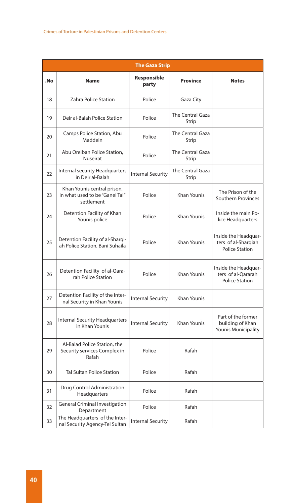|     | <b>The Gaza Strip</b>                                                       |                          |                                  |                                                                      |  |  |  |
|-----|-----------------------------------------------------------------------------|--------------------------|----------------------------------|----------------------------------------------------------------------|--|--|--|
| .No | <b>Name</b>                                                                 | Responsible<br>party     | <b>Province</b>                  | <b>Notes</b>                                                         |  |  |  |
| 18  | Zahra Police Station                                                        | Police                   | Gaza City                        |                                                                      |  |  |  |
| 19  | Deir al-Balah Police Station                                                | Police                   | The Central Gaza<br>Strip        |                                                                      |  |  |  |
| 20  | Camps Police Station, Abu<br>Maddein                                        | Police                   | <b>The Central Gaza</b><br>Strip |                                                                      |  |  |  |
| 21  | Abu Oreiban Police Station,<br><b>Nuseirat</b>                              | Police                   | The Central Gaza<br>Strip        |                                                                      |  |  |  |
| 22  | Internal security Headquarters<br>in Deir al-Balah                          | <b>Internal Security</b> | The Central Gaza<br>Strip        |                                                                      |  |  |  |
| 23  | Khan Younis central prison,<br>in what used to be "Ganei Tal"<br>settlement | Police                   | Khan Younis                      | The Prison of the<br><b>Southern Provinces</b>                       |  |  |  |
| 24  | Detention Facility of Khan<br>Younis police                                 | Police                   | Khan Younis                      | Inside the main Po-<br>lice Headquarters                             |  |  |  |
| 25  | Detention Facility of al-Sharqi-<br>ah Police Station, Bani Suhaila         | Police                   | <b>Khan Younis</b>               | Inside the Headquar-<br>ters of al-Sharqiah<br><b>Police Station</b> |  |  |  |
| 26  | Detention Facility of al-Qara-<br>rah Police Station                        | Police                   | <b>Khan Younis</b>               | Inside the Headquar-<br>ters of al-Qararah<br><b>Police Station</b>  |  |  |  |
| 27  | Detention Facility of the Inter-<br>nal Security in Khan Younis             | <b>Internal Security</b> | <b>Khan Younis</b>               |                                                                      |  |  |  |
| 28  | <b>Internal Security Headquarters</b><br>in Khan Younis                     | <b>Internal Security</b> | Khan Younis                      | Part of the former<br>building of Khan<br>Younis Municipality        |  |  |  |
| 29  | Al-Balad Police Station, the<br>Security services Complex in<br>Rafah       | Police                   | Rafah                            |                                                                      |  |  |  |
| 30  | <b>Tal Sultan Police Station</b>                                            | Police                   | Rafah                            |                                                                      |  |  |  |
| 31  | Drug Control Administration<br>Headquarters                                 | Police                   | Rafah                            |                                                                      |  |  |  |
| 32  | <b>General Criminal Investigation</b><br>Department                         | Police                   | Rafah                            |                                                                      |  |  |  |
| 33  | The Headquarters of the Inter-<br>nal Security Agency-Tel Sultan            | <b>Internal Security</b> | Rafah                            |                                                                      |  |  |  |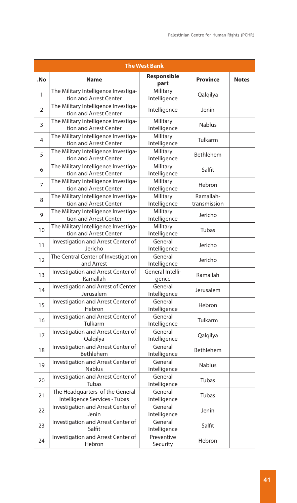| <b>The West Bank</b> |                                                                  |                                  |                           |              |  |
|----------------------|------------------------------------------------------------------|----------------------------------|---------------------------|--------------|--|
| .No                  | <b>Name</b>                                                      | Responsible<br>part              | <b>Province</b>           | <b>Notes</b> |  |
| $\mathbf{1}$         | The Military Intelligence Investiga-<br>tion and Arrest Center   | Military<br>Intelligence         | Qalqilya                  |              |  |
| $\overline{2}$       | The Military Intelligence Investiga-<br>tion and Arrest Center   | Intelligence                     | Jenin                     |              |  |
| 3                    | The Military Intelligence Investiga-<br>tion and Arrest Center   | Military<br>Intelligence         | <b>Nablus</b>             |              |  |
| 4                    | The Military Intelligence Investiga-<br>tion and Arrest Center   | Military<br>Intelligence         | Tulkarm                   |              |  |
| 5                    | The Military Intelligence Investiga-<br>tion and Arrest Center   | Military<br>Intelligence         | Bethlehem                 |              |  |
| 6                    | The Military Intelligence Investiga-<br>tion and Arrest Center   | Military<br>Intelligence         | Salfit                    |              |  |
| 7                    | The Military Intelligence Investiga-<br>tion and Arrest Center   | Military<br>Intelligence         | Hebron                    |              |  |
| 8                    | The Military Intelligence Investiga-<br>tion and Arrest Center   | Military<br>Intelligence         | Ramallah-<br>transmission |              |  |
| 9                    | The Military Intelligence Investiga-<br>tion and Arrest Center   | Military<br>Intelligence         | Jericho                   |              |  |
| 10                   | The Military Intelligence Investiga-<br>tion and Arrest Center   | Military<br>Intelligence         | Tubas                     |              |  |
| 11                   | Investigation and Arrest Center of<br>Jericho                    | General<br>Intelligence          | Jericho                   |              |  |
| 12                   | The Central Center of Investigation<br>and Arrest                | General<br>Intelligence          | Jericho                   |              |  |
| 13                   | Investigation and Arrest Center of<br>Ramallah                   | <b>General Intelli-</b><br>gence | Ramallah                  |              |  |
| 14                   | Investigation and Arrest of Center<br>Jerusalem                  | General<br>Intelligence          | Jerusalem                 |              |  |
| 15                   | Investigation and Arrest Center of<br>Hebron                     | General<br>Intelligence          | Hebron                    |              |  |
| 16                   | Investigation and Arrest Center of<br>Tulkarm                    | General<br>Intelligence          | Tulkarm                   |              |  |
| 17                   | Investigation and Arrest Center of<br>Qalqilya                   | General<br>Intelligence          | Qalqilya                  |              |  |
| 18                   | Investigation and Arrest Center of<br>Bethlehem                  | General<br>Intelligence          | Bethlehem                 |              |  |
| 19                   | Investigation and Arrest Center of<br>Nablus                     | General<br>Intelligence          | <b>Nablus</b>             |              |  |
| 20                   | Investigation and Arrest Center of<br>Tubas                      | General<br>Intelligence          | Tubas                     |              |  |
| 21                   | The Headquarters of the General<br>Intelligence Services - Tubas | General<br>Intelligence          | <b>Tubas</b>              |              |  |
| 22                   | Investigation and Arrest Center of<br>Jenin                      | General<br>Intelligence          | Jenin                     |              |  |
| 23                   | Investigation and Arrest Center of<br>Salfit                     | General<br>Intelligence          | Salfit                    |              |  |
| 24                   | Investigation and Arrest Center of<br>Hebron                     | Preventive<br>Security           | Hebron                    |              |  |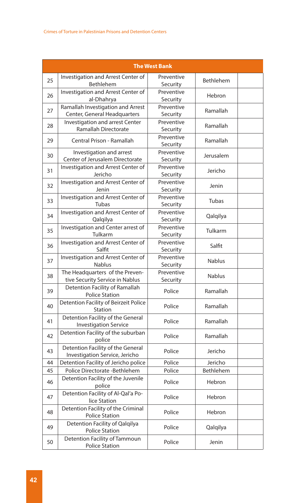|    | <b>The West Bank</b>                                                |                        |               |  |  |  |
|----|---------------------------------------------------------------------|------------------------|---------------|--|--|--|
| 25 | Investigation and Arrest Center of<br>Bethlehem                     | Preventive<br>Security | Bethlehem     |  |  |  |
| 26 | Investigation and Arrest Center of<br>al-Dhahrya                    | Preventive<br>Security | Hebron        |  |  |  |
| 27 | Ramallah Investigation and Arrest<br>Center, General Headquarters   | Preventive<br>Security | Ramallah      |  |  |  |
| 28 | Investigation and arrest Center<br><b>Ramallah Directorate</b>      | Preventive<br>Security | Ramallah      |  |  |  |
| 29 | Central Prison - Ramallah                                           | Preventive<br>Security | Ramallah      |  |  |  |
| 30 | Investigation and arrest<br>Center of Jerusalem Directorate         | Preventive<br>Security | Jerusalem     |  |  |  |
| 31 | Investigation and Arrest Center of<br>Jericho                       | Preventive<br>Security | Jericho       |  |  |  |
| 32 | Investigation and Arrest Center of<br>Jenin                         | Preventive<br>Security | Jenin         |  |  |  |
| 33 | Investigation and Arrest Center of<br>Tubas                         | Preventive<br>Security | Tubas         |  |  |  |
| 34 | Investigation and Arrest Center of<br>Qalqilya                      | Preventive<br>Security | Qalqilya      |  |  |  |
| 35 | Investigation and Center arrest of<br>Tulkarm                       | Preventive<br>Security | Tulkarm       |  |  |  |
| 36 | Investigation and Arrest Center of<br>Salfit                        | Preventive<br>Security | Salfit        |  |  |  |
| 37 | Investigation and Arrest Center of<br><b>Nablus</b>                 | Preventive<br>Security | <b>Nablus</b> |  |  |  |
| 38 | The Headquarters of the Preven-<br>tive Security Service in Nablus  | Preventive<br>Security | <b>Nablus</b> |  |  |  |
| 39 | Detention Facility of Ramallah<br><b>Police Station</b>             | Police                 | Ramallah      |  |  |  |
| 40 | Detention Facility of Beirzeit Police<br><b>Station</b>             | Police                 | Ramallah      |  |  |  |
| 41 | Detention Facility of the General<br><b>Investigation Service</b>   | Police                 | Ramallah      |  |  |  |
| 42 | Detention Facility of the suburban<br>police                        | Police                 | Ramallah      |  |  |  |
| 43 | Detention Facility of the General<br>Investigation Service, Jericho | Police                 | Jericho       |  |  |  |
| 44 | Detention Facility of Jericho police                                | Police                 | Jericho       |  |  |  |
| 45 | Police Directorate -Bethlehem                                       | Police                 | Bethlehem     |  |  |  |
| 46 | Detention Facility of the Juvenile<br>police                        | Police                 | Hebron        |  |  |  |
| 47 | Detention Facility of Al-Qal'a Po-<br>lice Station                  | Police                 | Hebron        |  |  |  |
| 48 | Detention Facility of the Criminal<br><b>Police Station</b>         | Police                 | Hebron        |  |  |  |
| 49 | Detention Facility of Qalqilya<br><b>Police Station</b>             | Police                 | Qalqilya      |  |  |  |
| 50 | Detention Facility of Tammoun<br><b>Police Station</b>              | Police                 | Jenin         |  |  |  |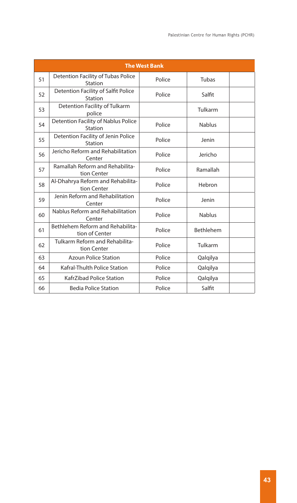|    | <b>The West Bank</b>                                  |        |                  |  |  |  |
|----|-------------------------------------------------------|--------|------------------|--|--|--|
| 51 | Detention Facility of Tubas Police<br>Station         | Police | Tubas            |  |  |  |
| 52 | Detention Facility of Salfit Police<br>Station        | Police | Salfit           |  |  |  |
| 53 | Detention Facility of Tulkarm<br>police               |        | Tulkarm          |  |  |  |
| 54 | Detention Facility of Nablus Police<br>Station        | Police | <b>Nablus</b>    |  |  |  |
| 55 | Detention Facility of Jenin Police<br>Station         | Police | Jenin            |  |  |  |
| 56 | Jericho Reform and Rehabilitation<br>Center           | Police | Jericho          |  |  |  |
| 57 | <b>Ramallah Reform and Rehabilita-</b><br>tion Center | Police | Ramallah         |  |  |  |
| 58 | Al-Dhahrya Reform and Rehabilita-<br>tion Center      | Police | Hebron           |  |  |  |
| 59 | Jenin Reform and Rehabilitation<br>Center             | Police | Jenin            |  |  |  |
| 60 | Nablus Reform and Rehabilitation<br>Center            | Police | <b>Nablus</b>    |  |  |  |
| 61 | Bethlehem Reform and Rehabilita-<br>tion of Center    | Police | <b>Bethlehem</b> |  |  |  |
| 62 | Tulkarm Reform and Rehabilita-<br>tion Center         | Police | Tulkarm          |  |  |  |
| 63 | <b>Azoun Police Station</b>                           | Police | Qalqilya         |  |  |  |
| 64 | Kafral-Thulth Police Station                          | Police | Qalqilya         |  |  |  |
| 65 | KafrZibad Police Station                              | Police | Qalqilya         |  |  |  |
| 66 | <b>Bedia Police Station</b>                           | Police | Salfit           |  |  |  |